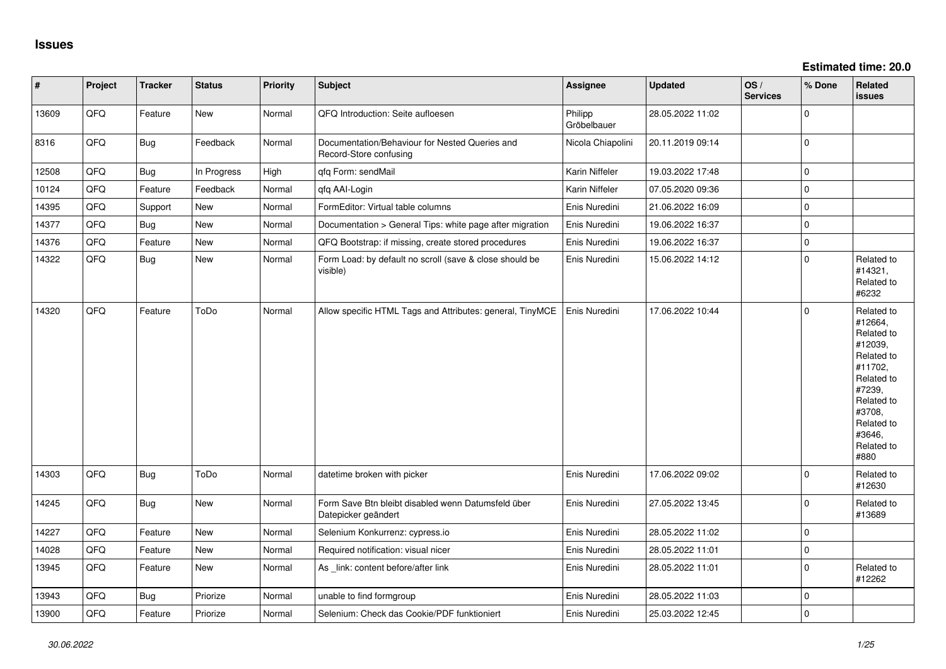| #     | Project | <b>Tracker</b> | <b>Status</b> | <b>Priority</b> | <b>Subject</b>                                                            | <b>Assignee</b>        | <b>Updated</b>   | OS/<br><b>Services</b> | % Done      | Related<br><b>issues</b>                                                                                                                                              |
|-------|---------|----------------|---------------|-----------------|---------------------------------------------------------------------------|------------------------|------------------|------------------------|-------------|-----------------------------------------------------------------------------------------------------------------------------------------------------------------------|
| 13609 | QFQ     | Feature        | New           | Normal          | QFQ Introduction: Seite aufloesen                                         | Philipp<br>Gröbelbauer | 28.05.2022 11:02 |                        | $\mathbf 0$ |                                                                                                                                                                       |
| 8316  | QFQ     | <b>Bug</b>     | Feedback      | Normal          | Documentation/Behaviour for Nested Queries and<br>Record-Store confusing  | Nicola Chiapolini      | 20.11.2019 09:14 |                        | $\pmb{0}$   |                                                                                                                                                                       |
| 12508 | QFQ     | <b>Bug</b>     | In Progress   | High            | qfq Form: sendMail                                                        | Karin Niffeler         | 19.03.2022 17:48 |                        | $\pmb{0}$   |                                                                                                                                                                       |
| 10124 | QFQ     | Feature        | Feedback      | Normal          | qfq AAI-Login                                                             | Karin Niffeler         | 07.05.2020 09:36 |                        | $\pmb{0}$   |                                                                                                                                                                       |
| 14395 | QFQ     | Support        | New           | Normal          | FormEditor: Virtual table columns                                         | Enis Nuredini          | 21.06.2022 16:09 |                        | $\mathbf 0$ |                                                                                                                                                                       |
| 14377 | QFQ     | Bug            | New           | Normal          | Documentation > General Tips: white page after migration                  | Enis Nuredini          | 19.06.2022 16:37 |                        | $\mathbf 0$ |                                                                                                                                                                       |
| 14376 | QFQ     | Feature        | New           | Normal          | QFQ Bootstrap: if missing, create stored procedures                       | Enis Nuredini          | 19.06.2022 16:37 |                        | $\pmb{0}$   |                                                                                                                                                                       |
| 14322 | QFQ     | <b>Bug</b>     | New           | Normal          | Form Load: by default no scroll (save & close should be<br>visible)       | Enis Nuredini          | 15.06.2022 14:12 |                        | $\pmb{0}$   | Related to<br>#14321,<br>Related to<br>#6232                                                                                                                          |
| 14320 | QFQ     | Feature        | ToDo          | Normal          | Allow specific HTML Tags and Attributes: general, TinyMCE                 | Enis Nuredini          | 17.06.2022 10:44 |                        | 0           | Related to<br>#12664,<br>Related to<br>#12039,<br>Related to<br>#11702,<br>Related to<br>#7239,<br>Related to<br>#3708,<br>Related to<br>#3646.<br>Related to<br>#880 |
| 14303 | QFQ     | <b>Bug</b>     | ToDo          | Normal          | datetime broken with picker                                               | Enis Nuredini          | 17.06.2022 09:02 |                        | $\pmb{0}$   | Related to<br>#12630                                                                                                                                                  |
| 14245 | QFQ     | <b>Bug</b>     | New           | Normal          | Form Save Btn bleibt disabled wenn Datumsfeld über<br>Datepicker geändert | Enis Nuredini          | 27.05.2022 13:45 |                        | $\pmb{0}$   | Related to<br>#13689                                                                                                                                                  |
| 14227 | QFQ     | Feature        | <b>New</b>    | Normal          | Selenium Konkurrenz: cypress.io                                           | Enis Nuredini          | 28.05.2022 11:02 |                        | $\mathbf 0$ |                                                                                                                                                                       |
| 14028 | QFQ     | Feature        | New           | Normal          | Required notification: visual nicer                                       | Enis Nuredini          | 28.05.2022 11:01 |                        | $\pmb{0}$   |                                                                                                                                                                       |
| 13945 | QFQ     | Feature        | New           | Normal          | As _link: content before/after link                                       | Enis Nuredini          | 28.05.2022 11:01 |                        | $\mathbf 0$ | Related to<br>#12262                                                                                                                                                  |
| 13943 | QFQ     | Bug            | Priorize      | Normal          | unable to find formgroup                                                  | Enis Nuredini          | 28.05.2022 11:03 |                        | $\pmb{0}$   |                                                                                                                                                                       |
| 13900 | QFQ     | Feature        | Priorize      | Normal          | Selenium: Check das Cookie/PDF funktioniert                               | Enis Nuredini          | 25.03.2022 12:45 |                        | $\mathbf 0$ |                                                                                                                                                                       |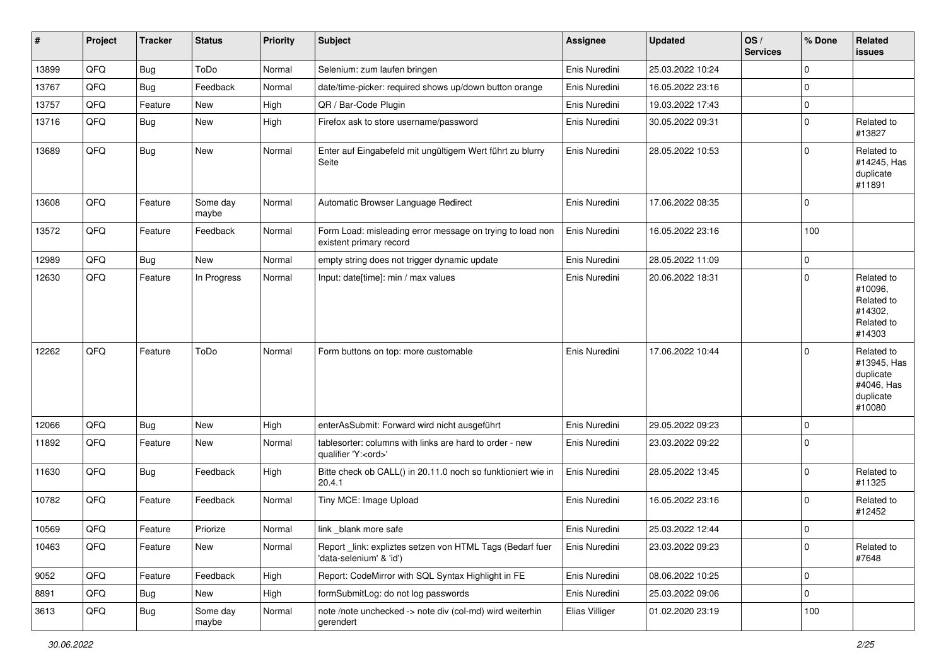| #     | Project | <b>Tracker</b> | <b>Status</b>     | <b>Priority</b> | <b>Subject</b>                                                                        | <b>Assignee</b> | <b>Updated</b>   | OS/<br><b>Services</b> | % Done      | <b>Related</b><br><b>issues</b>                                             |
|-------|---------|----------------|-------------------|-----------------|---------------------------------------------------------------------------------------|-----------------|------------------|------------------------|-------------|-----------------------------------------------------------------------------|
| 13899 | QFQ     | <b>Bug</b>     | ToDo              | Normal          | Selenium: zum laufen bringen                                                          | Enis Nuredini   | 25.03.2022 10:24 |                        | $\mathbf 0$ |                                                                             |
| 13767 | QFQ     | Bug            | Feedback          | Normal          | date/time-picker: required shows up/down button orange                                | Enis Nuredini   | 16.05.2022 23:16 |                        | 0           |                                                                             |
| 13757 | QFQ     | Feature        | New               | High            | QR / Bar-Code Plugin                                                                  | Enis Nuredini   | 19.03.2022 17:43 |                        | $\mathbf 0$ |                                                                             |
| 13716 | QFQ     | Bug            | New               | High            | Firefox ask to store username/password                                                | Enis Nuredini   | 30.05.2022 09:31 |                        | 0           | Related to<br>#13827                                                        |
| 13689 | QFQ     | Bug            | New               | Normal          | Enter auf Eingabefeld mit ungültigem Wert führt zu blurry<br>Seite                    | Enis Nuredini   | 28.05.2022 10:53 |                        | 0           | Related to<br>#14245, Has<br>duplicate<br>#11891                            |
| 13608 | QFQ     | Feature        | Some day<br>maybe | Normal          | Automatic Browser Language Redirect                                                   | Enis Nuredini   | 17.06.2022 08:35 |                        | $\mathbf 0$ |                                                                             |
| 13572 | QFQ     | Feature        | Feedback          | Normal          | Form Load: misleading error message on trying to load non<br>existent primary record  | Enis Nuredini   | 16.05.2022 23:16 |                        | 100         |                                                                             |
| 12989 | QFQ     | Bug            | New               | Normal          | empty string does not trigger dynamic update                                          | Enis Nuredini   | 28.05.2022 11:09 |                        | 0           |                                                                             |
| 12630 | QFQ     | Feature        | In Progress       | Normal          | Input: date[time]: min / max values                                                   | Enis Nuredini   | 20.06.2022 18:31 |                        | $\Omega$    | Related to<br>#10096.<br>Related to<br>#14302,<br>Related to<br>#14303      |
| 12262 | QFQ     | Feature        | ToDo              | Normal          | Form buttons on top: more customable                                                  | Enis Nuredini   | 17.06.2022 10:44 |                        | $\Omega$    | Related to<br>#13945, Has<br>duplicate<br>#4046, Has<br>duplicate<br>#10080 |
| 12066 | QFQ     | Bug            | New               | High            | enterAsSubmit: Forward wird nicht ausgeführt                                          | Enis Nuredini   | 29.05.2022 09:23 |                        | 0           |                                                                             |
| 11892 | QFQ     | Feature        | New               | Normal          | tablesorter: columns with links are hard to order - new<br>qualifier 'Y: <ord>'</ord> | Enis Nuredini   | 23.03.2022 09:22 |                        | $\Omega$    |                                                                             |
| 11630 | QFQ     | Bug            | Feedback          | High            | Bitte check ob CALL() in 20.11.0 noch so funktioniert wie in<br>20.4.1                | Enis Nuredini   | 28.05.2022 13:45 |                        | $\mathbf 0$ | Related to<br>#11325                                                        |
| 10782 | QFQ     | Feature        | Feedback          | Normal          | Tiny MCE: Image Upload                                                                | Enis Nuredini   | 16.05.2022 23:16 |                        | $\mathbf 0$ | Related to<br>#12452                                                        |
| 10569 | QFQ     | Feature        | Priorize          | Normal          | link blank more safe                                                                  | Enis Nuredini   | 25.03.2022 12:44 |                        | $\mathbf 0$ |                                                                             |
| 10463 | QFQ     | Feature        | New               | Normal          | Report_link: expliztes setzen von HTML Tags (Bedarf fuer<br>'data-selenium' & 'id')   | Enis Nuredini   | 23.03.2022 09:23 |                        | 0           | Related to<br>#7648                                                         |
| 9052  | QFQ     | Feature        | Feedback          | High            | Report: CodeMirror with SQL Syntax Highlight in FE                                    | Enis Nuredini   | 08.06.2022 10:25 |                        | $\mathbf 0$ |                                                                             |
| 8891  | QFQ     | <b>Bug</b>     | New               | High            | formSubmitLog: do not log passwords                                                   | Enis Nuredini   | 25.03.2022 09:06 |                        | 0           |                                                                             |
| 3613  | QFQ     | Bug            | Some day<br>maybe | Normal          | note /note unchecked -> note div (col-md) wird weiterhin<br>gerendert                 | Elias Villiger  | 01.02.2020 23:19 |                        | 100         |                                                                             |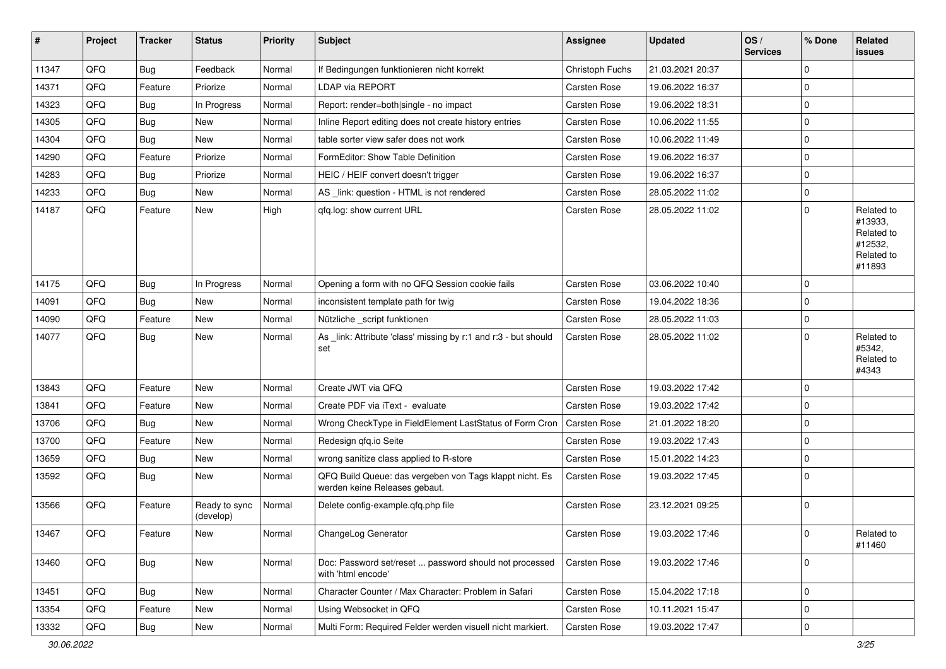| ∦     | Project | <b>Tracker</b> | <b>Status</b>              | <b>Priority</b> | <b>Subject</b>                                                                           | <b>Assignee</b>     | <b>Updated</b>   | OS/<br><b>Services</b> | % Done      | Related<br><b>issues</b>                                               |
|-------|---------|----------------|----------------------------|-----------------|------------------------------------------------------------------------------------------|---------------------|------------------|------------------------|-------------|------------------------------------------------------------------------|
| 11347 | QFQ     | Bug            | Feedback                   | Normal          | If Bedingungen funktionieren nicht korrekt                                               | Christoph Fuchs     | 21.03.2021 20:37 |                        | $\mathbf 0$ |                                                                        |
| 14371 | QFQ     | Feature        | Priorize                   | Normal          | LDAP via REPORT                                                                          | Carsten Rose        | 19.06.2022 16:37 |                        | $\mathbf 0$ |                                                                        |
| 14323 | QFQ     | Bug            | In Progress                | Normal          | Report: render=both single - no impact                                                   | <b>Carsten Rose</b> | 19.06.2022 18:31 |                        | $\Omega$    |                                                                        |
| 14305 | QFQ     | <b>Bug</b>     | New                        | Normal          | Inline Report editing does not create history entries                                    | <b>Carsten Rose</b> | 10.06.2022 11:55 |                        | $\mathbf 0$ |                                                                        |
| 14304 | QFQ     | <b>Bug</b>     | New                        | Normal          | table sorter view safer does not work                                                    | Carsten Rose        | 10.06.2022 11:49 |                        | $\mathbf 0$ |                                                                        |
| 14290 | QFQ     | Feature        | Priorize                   | Normal          | FormEditor: Show Table Definition                                                        | Carsten Rose        | 19.06.2022 16:37 |                        | $\mathbf 0$ |                                                                        |
| 14283 | QFQ     | Bug            | Priorize                   | Normal          | HEIC / HEIF convert doesn't trigger                                                      | <b>Carsten Rose</b> | 19.06.2022 16:37 |                        | $\mathbf 0$ |                                                                        |
| 14233 | QFQ     | <b>Bug</b>     | New                        | Normal          | AS link: question - HTML is not rendered                                                 | <b>Carsten Rose</b> | 28.05.2022 11:02 |                        | 0           |                                                                        |
| 14187 | QFQ     | Feature        | New                        | High            | qfq.log: show current URL                                                                | Carsten Rose        | 28.05.2022 11:02 |                        | $\mathbf 0$ | Related to<br>#13933,<br>Related to<br>#12532,<br>Related to<br>#11893 |
| 14175 | QFQ     | <b>Bug</b>     | In Progress                | Normal          | Opening a form with no QFQ Session cookie fails                                          | <b>Carsten Rose</b> | 03.06.2022 10:40 |                        | $\mathbf 0$ |                                                                        |
| 14091 | QFQ     | <b>Bug</b>     | New                        | Normal          | inconsistent template path for twig                                                      | Carsten Rose        | 19.04.2022 18:36 |                        | $\mathbf 0$ |                                                                        |
| 14090 | QFQ     | Feature        | New                        | Normal          | Nützliche _script funktionen                                                             | <b>Carsten Rose</b> | 28.05.2022 11:03 |                        | $\pmb{0}$   |                                                                        |
| 14077 | QFQ     | Bug            | New                        | Normal          | As _link: Attribute 'class' missing by r:1 and r:3 - but should<br>set                   | <b>Carsten Rose</b> | 28.05.2022 11:02 |                        | $\mathbf 0$ | Related to<br>#5342,<br>Related to<br>#4343                            |
| 13843 | QFQ     | Feature        | New                        | Normal          | Create JWT via QFQ                                                                       | <b>Carsten Rose</b> | 19.03.2022 17:42 |                        | $\Omega$    |                                                                        |
| 13841 | QFQ     | Feature        | New                        | Normal          | Create PDF via iText - evaluate                                                          | <b>Carsten Rose</b> | 19.03.2022 17:42 |                        | $\mathbf 0$ |                                                                        |
| 13706 | QFQ     | Bug            | New                        | Normal          | Wrong CheckType in FieldElement LastStatus of Form Cron                                  | <b>Carsten Rose</b> | 21.01.2022 18:20 |                        | 0           |                                                                        |
| 13700 | QFQ     | Feature        | New                        | Normal          | Redesign qfq.io Seite                                                                    | Carsten Rose        | 19.03.2022 17:43 |                        | $\mathbf 0$ |                                                                        |
| 13659 | QFQ     | Bug            | New                        | Normal          | wrong sanitize class applied to R-store                                                  | <b>Carsten Rose</b> | 15.01.2022 14:23 |                        | $\mathbf 0$ |                                                                        |
| 13592 | QFQ     | <b>Bug</b>     | New                        | Normal          | QFQ Build Queue: das vergeben von Tags klappt nicht. Es<br>werden keine Releases gebaut. | Carsten Rose        | 19.03.2022 17:45 |                        | $\mathbf 0$ |                                                                        |
| 13566 | QFQ     | Feature        | Ready to sync<br>(develop) | Normal          | Delete config-example.qfq.php file                                                       | Carsten Rose        | 23.12.2021 09:25 |                        | $\mathbf 0$ |                                                                        |
| 13467 | QFQ     | Feature        | New                        | Normal          | ChangeLog Generator                                                                      | Carsten Rose        | 19.03.2022 17:46 |                        | $\pmb{0}$   | Related to<br>#11460                                                   |
| 13460 | QFQ     | Bug            | New                        | Normal          | Doc: Password set/reset  password should not processed<br>with 'html encode'             | Carsten Rose        | 19.03.2022 17:46 |                        | $\mathbf 0$ |                                                                        |
| 13451 | QFQ     | Bug            | New                        | Normal          | Character Counter / Max Character: Problem in Safari                                     | Carsten Rose        | 15.04.2022 17:18 |                        | $\mathbf 0$ |                                                                        |
| 13354 | QFQ     | Feature        | New                        | Normal          | Using Websocket in QFQ                                                                   | Carsten Rose        | 10.11.2021 15:47 |                        | $\mathbf 0$ |                                                                        |
| 13332 | QFQ     | <b>Bug</b>     | New                        | Normal          | Multi Form: Required Felder werden visuell nicht markiert.                               | Carsten Rose        | 19.03.2022 17:47 |                        | $\pmb{0}$   |                                                                        |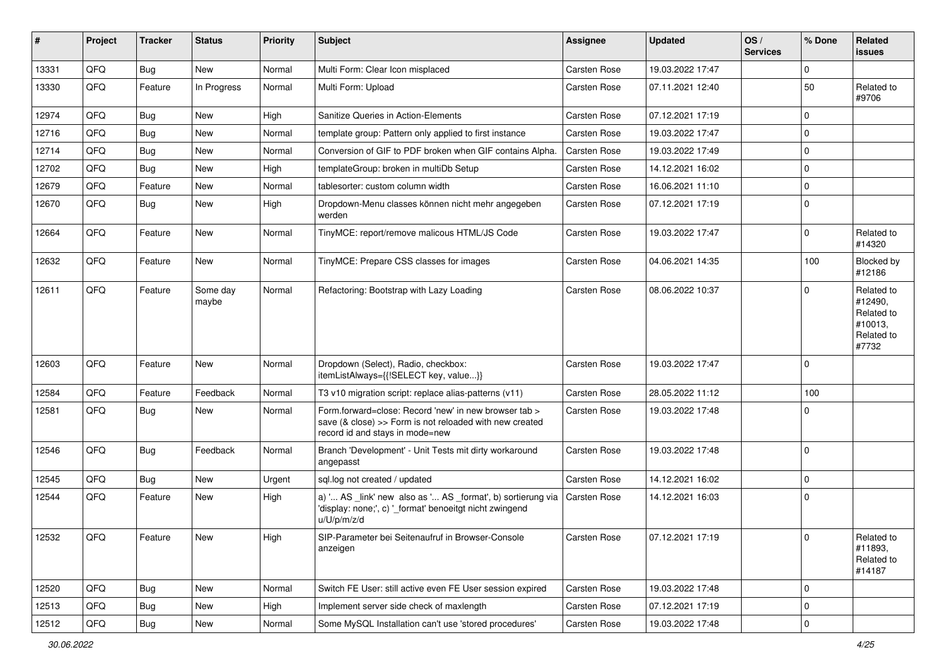| #     | Project | <b>Tracker</b> | <b>Status</b>     | <b>Priority</b> | <b>Subject</b>                                                                                                                                      | <b>Assignee</b>     | <b>Updated</b>   | OS/<br><b>Services</b> | % Done      | Related<br>issues                                                     |
|-------|---------|----------------|-------------------|-----------------|-----------------------------------------------------------------------------------------------------------------------------------------------------|---------------------|------------------|------------------------|-------------|-----------------------------------------------------------------------|
| 13331 | QFQ     | <b>Bug</b>     | New               | Normal          | Multi Form: Clear Icon misplaced                                                                                                                    | Carsten Rose        | 19.03.2022 17:47 |                        | $\mathbf 0$ |                                                                       |
| 13330 | QFQ     | Feature        | In Progress       | Normal          | Multi Form: Upload                                                                                                                                  | Carsten Rose        | 07.11.2021 12:40 |                        | 50          | Related to<br>#9706                                                   |
| 12974 | QFQ     | Bug            | New               | High            | Sanitize Queries in Action-Elements                                                                                                                 | Carsten Rose        | 07.12.2021 17:19 |                        | $\Omega$    |                                                                       |
| 12716 | QFQ     | <b>Bug</b>     | New               | Normal          | template group: Pattern only applied to first instance                                                                                              | Carsten Rose        | 19.03.2022 17:47 |                        | $\Omega$    |                                                                       |
| 12714 | QFQ     | <b>Bug</b>     | New               | Normal          | Conversion of GIF to PDF broken when GIF contains Alpha.                                                                                            | Carsten Rose        | 19.03.2022 17:49 |                        | $\Omega$    |                                                                       |
| 12702 | QFQ     | Bug            | New               | High            | templateGroup: broken in multiDb Setup                                                                                                              | Carsten Rose        | 14.12.2021 16:02 |                        | $\mathbf 0$ |                                                                       |
| 12679 | QFQ     | Feature        | New               | Normal          | tablesorter: custom column width                                                                                                                    | Carsten Rose        | 16.06.2021 11:10 |                        | $\Omega$    |                                                                       |
| 12670 | QFQ     | Bug            | New               | High            | Dropdown-Menu classes können nicht mehr angegeben<br>werden                                                                                         | Carsten Rose        | 07.12.2021 17:19 |                        | $\Omega$    |                                                                       |
| 12664 | QFQ     | Feature        | New               | Normal          | TinyMCE: report/remove malicous HTML/JS Code                                                                                                        | Carsten Rose        | 19.03.2022 17:47 |                        | $\mathbf 0$ | Related to<br>#14320                                                  |
| 12632 | QFQ     | Feature        | New               | Normal          | TinyMCE: Prepare CSS classes for images                                                                                                             | Carsten Rose        | 04.06.2021 14:35 |                        | 100         | Blocked by<br>#12186                                                  |
| 12611 | QFQ     | Feature        | Some day<br>maybe | Normal          | Refactoring: Bootstrap with Lazy Loading                                                                                                            | Carsten Rose        | 08.06.2022 10:37 |                        | $\Omega$    | Related to<br>#12490,<br>Related to<br>#10013,<br>Related to<br>#7732 |
| 12603 | QFQ     | Feature        | New               | Normal          | Dropdown (Select), Radio, checkbox:<br>itemListAlways={{!SELECT key, value}}                                                                        | <b>Carsten Rose</b> | 19.03.2022 17:47 |                        | $\mathbf 0$ |                                                                       |
| 12584 | QFQ     | Feature        | Feedback          | Normal          | T3 v10 migration script: replace alias-patterns (v11)                                                                                               | Carsten Rose        | 28.05.2022 11:12 |                        | 100         |                                                                       |
| 12581 | QFQ     | Bug            | New               | Normal          | Form.forward=close: Record 'new' in new browser tab ><br>save (& close) >> Form is not reloaded with new created<br>record id and stays in mode=new | Carsten Rose        | 19.03.2022 17:48 |                        | $\Omega$    |                                                                       |
| 12546 | QFQ     | Bug            | Feedback          | Normal          | Branch 'Development' - Unit Tests mit dirty workaround<br>angepasst                                                                                 | <b>Carsten Rose</b> | 19.03.2022 17:48 |                        | $\Omega$    |                                                                       |
| 12545 | QFQ     | <b>Bug</b>     | New               | Urgent          | sql.log not created / updated                                                                                                                       | <b>Carsten Rose</b> | 14.12.2021 16:02 |                        | $\Omega$    |                                                                       |
| 12544 | QFQ     | Feature        | New               | High            | a) ' AS _link' new also as ' AS _format', b) sortierung via<br>'display: none;', c) '_format' benoeitgt nicht zwingend<br>u/U/p/m/z/d               | <b>Carsten Rose</b> | 14.12.2021 16:03 |                        | $\Omega$    |                                                                       |
| 12532 | QFQ     | Feature        | New               | High            | SIP-Parameter bei Seitenaufruf in Browser-Console<br>anzeigen                                                                                       | Carsten Rose        | 07.12.2021 17:19 |                        | 0           | Related to<br>#11893,<br>Related to<br>#14187                         |
| 12520 | QFQ     | <b>Bug</b>     | New               | Normal          | Switch FE User: still active even FE User session expired                                                                                           | Carsten Rose        | 19.03.2022 17:48 |                        | 0           |                                                                       |
| 12513 | QFQ     | Bug            | New               | High            | Implement server side check of maxlength                                                                                                            | Carsten Rose        | 07.12.2021 17:19 |                        | 0           |                                                                       |
| 12512 | QFQ     | Bug            | New               | Normal          | Some MySQL Installation can't use 'stored procedures'                                                                                               | Carsten Rose        | 19.03.2022 17:48 |                        | 0           |                                                                       |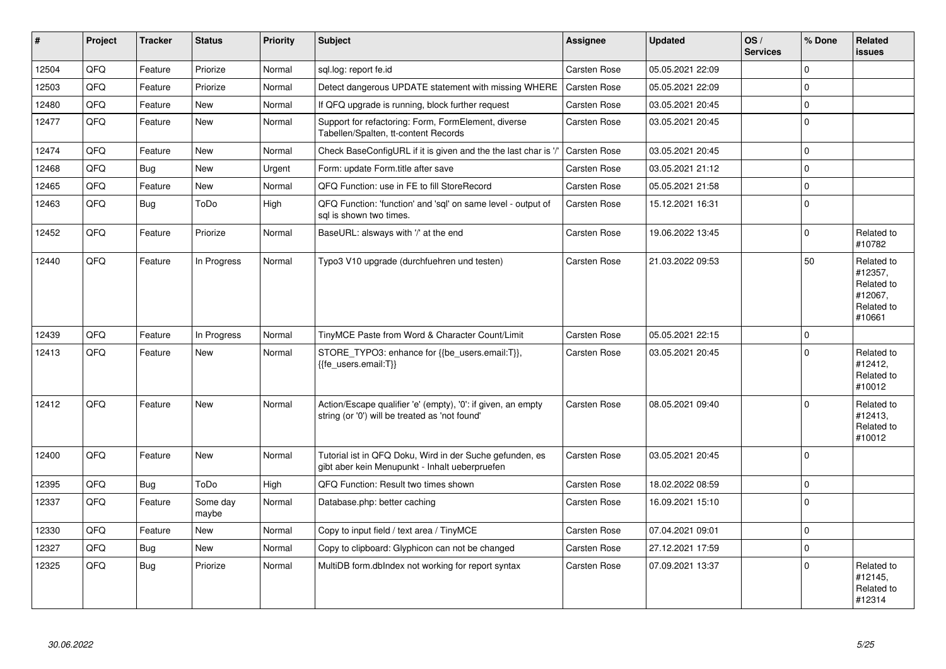| $\vert$ # | <b>Project</b> | <b>Tracker</b> | <b>Status</b>     | <b>Priority</b> | <b>Subject</b>                                                                                                 | Assignee            | <b>Updated</b>   | OS/<br><b>Services</b> | % Done      | Related<br><b>issues</b>                                               |
|-----------|----------------|----------------|-------------------|-----------------|----------------------------------------------------------------------------------------------------------------|---------------------|------------------|------------------------|-------------|------------------------------------------------------------------------|
| 12504     | QFQ            | Feature        | Priorize          | Normal          | sql.log: report fe.id                                                                                          | Carsten Rose        | 05.05.2021 22:09 |                        | $\Omega$    |                                                                        |
| 12503     | QFQ            | Feature        | Priorize          | Normal          | Detect dangerous UPDATE statement with missing WHERE                                                           | <b>Carsten Rose</b> | 05.05.2021 22:09 |                        | $\mathbf 0$ |                                                                        |
| 12480     | QFQ            | Feature        | <b>New</b>        | Normal          | If QFQ upgrade is running, block further request                                                               | Carsten Rose        | 03.05.2021 20:45 |                        | $\Omega$    |                                                                        |
| 12477     | QFQ            | Feature        | <b>New</b>        | Normal          | Support for refactoring: Form, FormElement, diverse<br>Tabellen/Spalten, tt-content Records                    | <b>Carsten Rose</b> | 03.05.2021 20:45 |                        | $\Omega$    |                                                                        |
| 12474     | QFQ            | Feature        | <b>New</b>        | Normal          | Check BaseConfigURL if it is given and the the last char is '                                                  | <b>Carsten Rose</b> | 03.05.2021 20:45 |                        | $\Omega$    |                                                                        |
| 12468     | QFQ            | Bug            | <b>New</b>        | Urgent          | Form: update Form.title after save                                                                             | Carsten Rose        | 03.05.2021 21:12 |                        | $\Omega$    |                                                                        |
| 12465     | QFQ            | Feature        | New               | Normal          | QFQ Function: use in FE to fill StoreRecord                                                                    | Carsten Rose        | 05.05.2021 21:58 |                        | $\mathbf 0$ |                                                                        |
| 12463     | QFQ            | Bug            | ToDo              | High            | QFQ Function: 'function' and 'sql' on same level - output of<br>sal is shown two times.                        | <b>Carsten Rose</b> | 15.12.2021 16:31 |                        | $\Omega$    |                                                                        |
| 12452     | QFQ            | Feature        | Priorize          | Normal          | BaseURL: alsways with '/' at the end                                                                           | Carsten Rose        | 19.06.2022 13:45 |                        | $\mathbf 0$ | Related to<br>#10782                                                   |
| 12440     | QFQ            | Feature        | In Progress       | Normal          | Typo3 V10 upgrade (durchfuehren und testen)                                                                    | Carsten Rose        | 21.03.2022 09:53 |                        | 50          | Related to<br>#12357,<br>Related to<br>#12067,<br>Related to<br>#10661 |
| 12439     | QFQ            | Feature        | In Progress       | Normal          | TinyMCE Paste from Word & Character Count/Limit                                                                | Carsten Rose        | 05.05.2021 22:15 |                        | $\mathbf 0$ |                                                                        |
| 12413     | QFQ            | Feature        | New               | Normal          | STORE TYPO3: enhance for {{be users.email:T}},<br>{{fe users.email:T}}                                         | <b>Carsten Rose</b> | 03.05.2021 20:45 |                        | $\Omega$    | Related to<br>#12412,<br>Related to<br>#10012                          |
| 12412     | QFQ            | Feature        | <b>New</b>        | Normal          | Action/Escape qualifier 'e' (empty), '0': if given, an empty<br>string (or '0') will be treated as 'not found' | Carsten Rose        | 08.05.2021 09:40 |                        | $\Omega$    | Related to<br>#12413.<br>Related to<br>#10012                          |
| 12400     | QFQ            | Feature        | <b>New</b>        | Normal          | Tutorial ist in QFQ Doku, Wird in der Suche gefunden, es<br>gibt aber kein Menupunkt - Inhalt ueberpruefen     | Carsten Rose        | 03.05.2021 20:45 |                        | $\Omega$    |                                                                        |
| 12395     | QFQ            | Bug            | ToDo              | High            | QFQ Function: Result two times shown                                                                           | Carsten Rose        | 18.02.2022 08:59 |                        | $\mathbf 0$ |                                                                        |
| 12337     | QFQ            | Feature        | Some day<br>maybe | Normal          | Database.php: better caching                                                                                   | Carsten Rose        | 16.09.2021 15:10 |                        | $\Omega$    |                                                                        |
| 12330     | QFQ            | Feature        | <b>New</b>        | Normal          | Copy to input field / text area / TinyMCE                                                                      | Carsten Rose        | 07.04.2021 09:01 |                        | $\mathbf 0$ |                                                                        |
| 12327     | QFQ            | <b>Bug</b>     | <b>New</b>        | Normal          | Copy to clipboard: Glyphicon can not be changed                                                                | Carsten Rose        | 27.12.2021 17:59 |                        | $\Omega$    |                                                                        |
| 12325     | QFQ            | Bug            | Priorize          | Normal          | MultiDB form.dblndex not working for report syntax                                                             | Carsten Rose        | 07.09.2021 13:37 |                        | $\mathbf 0$ | Related to<br>#12145,<br>Related to<br>#12314                          |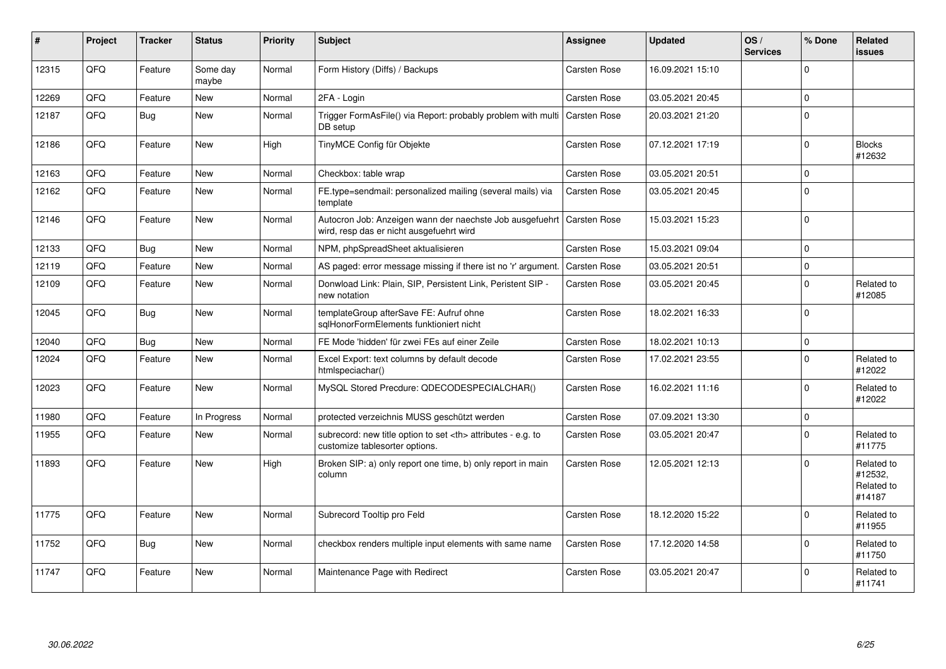| #     | Project | <b>Tracker</b> | <b>Status</b>     | <b>Priority</b> | <b>Subject</b>                                                                                       | <b>Assignee</b>                                        | <b>Updated</b>   | OS/<br><b>Services</b> | % Done       | Related<br><b>issues</b>                      |                      |
|-------|---------|----------------|-------------------|-----------------|------------------------------------------------------------------------------------------------------|--------------------------------------------------------|------------------|------------------------|--------------|-----------------------------------------------|----------------------|
| 12315 | QFQ     | Feature        | Some day<br>maybe | Normal          | Form History (Diffs) / Backups                                                                       | Carsten Rose                                           | 16.09.2021 15:10 |                        | 0            |                                               |                      |
| 12269 | QFQ     | Feature        | New               | Normal          | 2FA - Login                                                                                          | Carsten Rose                                           | 03.05.2021 20:45 |                        | $\mathbf 0$  |                                               |                      |
| 12187 | QFQ     | <b>Bug</b>     | <b>New</b>        | Normal          | Trigger FormAsFile() via Report: probably problem with multi<br>DB setup                             | Carsten Rose                                           | 20.03.2021 21:20 |                        | $\mathbf 0$  |                                               |                      |
| 12186 | QFQ     | Feature        | <b>New</b>        | High            | TinyMCE Config für Objekte                                                                           | Carsten Rose                                           | 07.12.2021 17:19 |                        | $\Omega$     | <b>Blocks</b><br>#12632                       |                      |
| 12163 | QFQ     | Feature        | <b>New</b>        | Normal          | Checkbox: table wrap                                                                                 | Carsten Rose                                           | 03.05.2021 20:51 |                        | $\mathbf 0$  |                                               |                      |
| 12162 | QFQ     | Feature        | New               | Normal          | FE.type=sendmail: personalized mailing (several mails) via<br>template                               | Carsten Rose                                           | 03.05.2021 20:45 |                        | $\Omega$     |                                               |                      |
| 12146 | QFQ     | Feature        | New               | Normal          | Autocron Job: Anzeigen wann der naechste Job ausgefuehrt<br>wird, resp das er nicht ausgefuehrt wird | Carsten Rose                                           | 15.03.2021 15:23 |                        | $\Omega$     |                                               |                      |
| 12133 | QFQ     | Bug            | New               | Normal          | NPM, phpSpreadSheet aktualisieren                                                                    | Carsten Rose                                           | 15.03.2021 09:04 |                        | $\mathbf{0}$ |                                               |                      |
| 12119 | QFQ     | Feature        | <b>New</b>        | Normal          | AS paged: error message missing if there ist no 'r' argument                                         | <b>Carsten Rose</b>                                    | 03.05.2021 20:51 |                        | $\pmb{0}$    |                                               |                      |
| 12109 | QFQ     | Feature        | New               | Normal          | Donwload Link: Plain, SIP, Persistent Link, Peristent SIP -<br>new notation                          | Carsten Rose                                           | 03.05.2021 20:45 |                        | $\mathbf 0$  | Related to<br>#12085                          |                      |
| 12045 | QFQ     | <b>Bug</b>     | <b>New</b>        | Normal          | templateGroup afterSave FE: Aufruf ohne<br>sglHonorFormElements funktioniert nicht                   | Carsten Rose                                           | 18.02.2021 16:33 |                        | $\mathbf 0$  |                                               |                      |
| 12040 | QFQ     | Bug            | <b>New</b>        | Normal          | FE Mode 'hidden' für zwei FEs auf einer Zeile                                                        | Carsten Rose                                           | 18.02.2021 10:13 |                        | $\mathbf 0$  |                                               |                      |
| 12024 | QFQ     | Feature        | New               | Normal          | Excel Export: text columns by default decode<br>htmlspeciachar()                                     | Carsten Rose                                           | 17.02.2021 23:55 |                        | $\mathbf{0}$ | Related to<br>#12022                          |                      |
| 12023 | QFQ     | Feature        | <b>New</b>        | Normal          | MySQL Stored Precdure: QDECODESPECIALCHAR()                                                          | Carsten Rose                                           | 16.02.2021 11:16 |                        | $\mathbf 0$  | Related to<br>#12022                          |                      |
| 11980 | QFQ     | Feature        | In Progress       | Normal          | protected verzeichnis MUSS geschützt werden                                                          | Carsten Rose                                           | 07.09.2021 13:30 |                        | $\mathbf 0$  |                                               |                      |
| 11955 | QFQ     | Feature        | New               | Normal          | subrecord: new title option to set <th> attributes - e.g. to<br/>customize tablesorter options.</th> | attributes - e.g. to<br>customize tablesorter options. | Carsten Rose     | 03.05.2021 20:47       |              | $\mathbf 0$                                   | Related to<br>#11775 |
| 11893 | QFQ     | Feature        | <b>New</b>        | High            | Broken SIP: a) only report one time, b) only report in main<br>column                                | <b>Carsten Rose</b>                                    | 12.05.2021 12:13 |                        | $\mathbf 0$  | Related to<br>#12532,<br>Related to<br>#14187 |                      |
| 11775 | QFQ     | Feature        | <b>New</b>        | Normal          | Subrecord Tooltip pro Feld                                                                           | Carsten Rose                                           | 18.12.2020 15:22 |                        | $\mathbf 0$  | Related to<br>#11955                          |                      |
| 11752 | QFQ     | Bug            | <b>New</b>        | Normal          | checkbox renders multiple input elements with same name                                              | Carsten Rose                                           | 17.12.2020 14:58 |                        | $\mathbf 0$  | Related to<br>#11750                          |                      |
| 11747 | QFQ     | Feature        | <b>New</b>        | Normal          | Maintenance Page with Redirect                                                                       | Carsten Rose                                           | 03.05.2021 20:47 |                        | $\Omega$     | Related to<br>#11741                          |                      |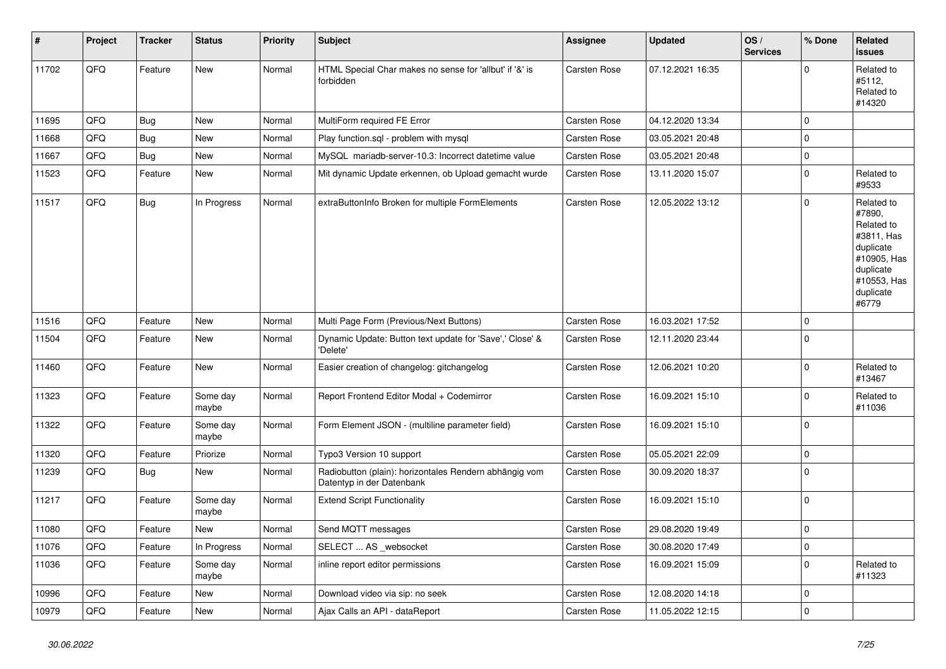| $\pmb{\#}$ | Project | <b>Tracker</b> | <b>Status</b>     | <b>Priority</b> | <b>Subject</b>                                                                      | Assignee            | <b>Updated</b>   | OS/<br><b>Services</b> | % Done         | <b>Related</b><br><b>issues</b>                                                                                                |
|------------|---------|----------------|-------------------|-----------------|-------------------------------------------------------------------------------------|---------------------|------------------|------------------------|----------------|--------------------------------------------------------------------------------------------------------------------------------|
| 11702      | QFQ     | Feature        | New               | Normal          | HTML Special Char makes no sense for 'allbut' if '&' is<br>forbidden                | Carsten Rose        | 07.12.2021 16:35 |                        | 0              | Related to<br>#5112,<br>Related to<br>#14320                                                                                   |
| 11695      | QFQ     | <b>Bug</b>     | <b>New</b>        | Normal          | MultiForm required FE Error                                                         | Carsten Rose        | 04.12.2020 13:34 |                        | $\Omega$       |                                                                                                                                |
| 11668      | QFQ     | Bug            | <b>New</b>        | Normal          | Play function.sql - problem with mysql                                              | <b>Carsten Rose</b> | 03.05.2021 20:48 |                        | $\Omega$       |                                                                                                                                |
| 11667      | QFQ     | <b>Bug</b>     | New               | Normal          | MySQL mariadb-server-10.3: Incorrect datetime value                                 | Carsten Rose        | 03.05.2021 20:48 |                        | $\mathbf 0$    |                                                                                                                                |
| 11523      | QFQ     | Feature        | New               | Normal          | Mit dynamic Update erkennen, ob Upload gemacht wurde                                | Carsten Rose        | 13.11.2020 15:07 |                        | $\mathbf{0}$   | Related to<br>#9533                                                                                                            |
| 11517      | QFQ     | Bug            | In Progress       | Normal          | extraButtonInfo Broken for multiple FormElements                                    | Carsten Rose        | 12.05.2022 13:12 |                        | 0              | Related to<br>#7890,<br>Related to<br>#3811, Has<br>duplicate<br>#10905, Has<br>duplicate<br>#10553, Has<br>duplicate<br>#6779 |
| 11516      | QFQ     | Feature        | <b>New</b>        | Normal          | Multi Page Form (Previous/Next Buttons)                                             | Carsten Rose        | 16.03.2021 17:52 |                        | $\Omega$       |                                                                                                                                |
| 11504      | QFQ     | Feature        | New               | Normal          | Dynamic Update: Button text update for 'Save',' Close' &<br>'Delete'                | Carsten Rose        | 12.11.2020 23:44 |                        | $\Omega$       |                                                                                                                                |
| 11460      | QFQ     | Feature        | New               | Normal          | Easier creation of changelog: gitchangelog                                          | Carsten Rose        | 12.06.2021 10:20 |                        | $\Omega$       | Related to<br>#13467                                                                                                           |
| 11323      | QFQ     | Feature        | Some day<br>maybe | Normal          | Report Frontend Editor Modal + Codemirror                                           | Carsten Rose        | 16.09.2021 15:10 |                        | 0              | Related to<br>#11036                                                                                                           |
| 11322      | QFQ     | Feature        | Some day<br>maybe | Normal          | Form Element JSON - (multiline parameter field)                                     | Carsten Rose        | 16.09.2021 15:10 |                        | $\Omega$       |                                                                                                                                |
| 11320      | QFQ     | Feature        | Priorize          | Normal          | Typo3 Version 10 support                                                            | Carsten Rose        | 05.05.2021 22:09 |                        | $\mathbf 0$    |                                                                                                                                |
| 11239      | QFQ     | Bug            | New               | Normal          | Radiobutton (plain): horizontales Rendern abhängig vom<br>Datentyp in der Datenbank | Carsten Rose        | 30.09.2020 18:37 |                        | $\mathbf 0$    |                                                                                                                                |
| 11217      | QFQ     | Feature        | Some day<br>maybe | Normal          | <b>Extend Script Functionality</b>                                                  | Carsten Rose        | 16.09.2021 15:10 |                        | 0              |                                                                                                                                |
| 11080      | QFQ     | Feature        | <b>New</b>        | Normal          | Send MQTT messages                                                                  | Carsten Rose        | 29.08.2020 19:49 |                        | 0              |                                                                                                                                |
| 11076      | QFQ     | Feature        | In Progress       | Normal          | SELECT  AS _websocket                                                               | <b>Carsten Rose</b> | 30.08.2020 17:49 |                        | $\overline{0}$ |                                                                                                                                |
| 11036      | QFQ     | Feature        | Some day<br>maybe | Normal          | inline report editor permissions                                                    | Carsten Rose        | 16.09.2021 15:09 |                        | $\Omega$       | Related to<br>#11323                                                                                                           |
| 10996      | QFQ     | Feature        | <b>New</b>        | Normal          | Download video via sip: no seek                                                     | <b>Carsten Rose</b> | 12.08.2020 14:18 |                        | $\overline{0}$ |                                                                                                                                |
| 10979      | QFQ     | Feature        | <b>New</b>        | Normal          | Ajax Calls an API - dataReport                                                      | Carsten Rose        | 11.05.2022 12:15 |                        | 0              |                                                                                                                                |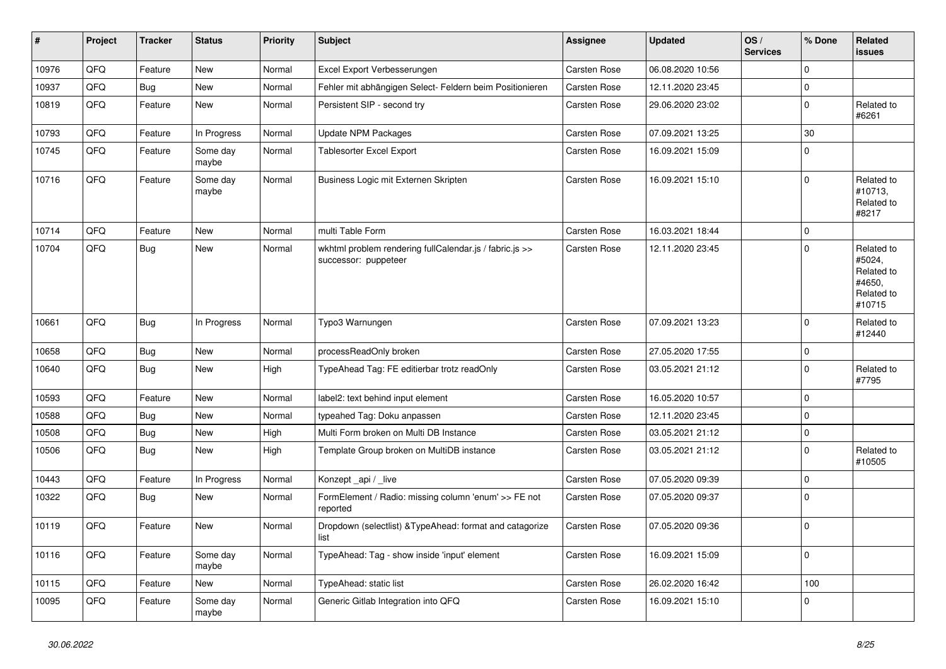| ∦     | Project | <b>Tracker</b> | <b>Status</b>     | <b>Priority</b> | <b>Subject</b>                                                                  | <b>Assignee</b>     | <b>Updated</b>   | OS/<br><b>Services</b> | % Done      | Related<br><b>issues</b>                                             |
|-------|---------|----------------|-------------------|-----------------|---------------------------------------------------------------------------------|---------------------|------------------|------------------------|-------------|----------------------------------------------------------------------|
| 10976 | QFQ     | Feature        | <b>New</b>        | Normal          | Excel Export Verbesserungen                                                     | Carsten Rose        | 06.08.2020 10:56 |                        | $\Omega$    |                                                                      |
| 10937 | QFQ     | <b>Bug</b>     | <b>New</b>        | Normal          | Fehler mit abhängigen Select- Feldern beim Positionieren                        | Carsten Rose        | 12.11.2020 23:45 |                        | $\mathbf 0$ |                                                                      |
| 10819 | QFQ     | Feature        | <b>New</b>        | Normal          | Persistent SIP - second try                                                     | Carsten Rose        | 29.06.2020 23:02 |                        | $\mathbf 0$ | Related to<br>#6261                                                  |
| 10793 | QFQ     | Feature        | In Progress       | Normal          | Update NPM Packages                                                             | Carsten Rose        | 07.09.2021 13:25 |                        | 30          |                                                                      |
| 10745 | QFQ     | Feature        | Some day<br>maybe | Normal          | <b>Tablesorter Excel Export</b>                                                 | Carsten Rose        | 16.09.2021 15:09 |                        | $\mathbf 0$ |                                                                      |
| 10716 | QFQ     | Feature        | Some day<br>maybe | Normal          | Business Logic mit Externen Skripten                                            | Carsten Rose        | 16.09.2021 15:10 |                        | $\Omega$    | Related to<br>#10713.<br>Related to<br>#8217                         |
| 10714 | QFQ     | Feature        | <b>New</b>        | Normal          | multi Table Form                                                                | Carsten Rose        | 16.03.2021 18:44 |                        | $\mathbf 0$ |                                                                      |
| 10704 | QFQ     | Bug            | <b>New</b>        | Normal          | wkhtml problem rendering fullCalendar.js / fabric.js >><br>successor: puppeteer | <b>Carsten Rose</b> | 12.11.2020 23:45 |                        | $\Omega$    | Related to<br>#5024,<br>Related to<br>#4650.<br>Related to<br>#10715 |
| 10661 | QFQ     | Bug            | In Progress       | Normal          | Typo3 Warnungen                                                                 | Carsten Rose        | 07.09.2021 13:23 |                        | $\Omega$    | Related to<br>#12440                                                 |
| 10658 | QFQ     | <b>Bug</b>     | <b>New</b>        | Normal          | processReadOnly broken                                                          | Carsten Rose        | 27.05.2020 17:55 |                        | $\pmb{0}$   |                                                                      |
| 10640 | QFQ     | <b>Bug</b>     | <b>New</b>        | High            | TypeAhead Tag: FE editierbar trotz readOnly                                     | Carsten Rose        | 03.05.2021 21:12 |                        | $\mathbf 0$ | Related to<br>#7795                                                  |
| 10593 | QFQ     | Feature        | <b>New</b>        | Normal          | label2: text behind input element                                               | Carsten Rose        | 16.05.2020 10:57 |                        | $\mathbf 0$ |                                                                      |
| 10588 | QFQ     | <b>Bug</b>     | <b>New</b>        | Normal          | typeahed Tag: Doku anpassen                                                     | Carsten Rose        | 12.11.2020 23:45 |                        | $\Omega$    |                                                                      |
| 10508 | QFQ     | <b>Bug</b>     | New               | High            | Multi Form broken on Multi DB Instance                                          | Carsten Rose        | 03.05.2021 21:12 |                        | $\mathbf 0$ |                                                                      |
| 10506 | QFQ     | <b>Bug</b>     | <b>New</b>        | High            | Template Group broken on MultiDB instance                                       | Carsten Rose        | 03.05.2021 21:12 |                        | $\mathbf 0$ | Related to<br>#10505                                                 |
| 10443 | QFQ     | Feature        | In Progress       | Normal          | Konzept api / live                                                              | Carsten Rose        | 07.05.2020 09:39 |                        | $\mathbf 0$ |                                                                      |
| 10322 | QFQ     | <b>Bug</b>     | <b>New</b>        | Normal          | FormElement / Radio: missing column 'enum' >> FE not<br>reported                | Carsten Rose        | 07.05.2020 09:37 |                        | $\mathbf 0$ |                                                                      |
| 10119 | QFQ     | Feature        | <b>New</b>        | Normal          | Dropdown (selectlist) & TypeAhead: format and catagorize<br>list                | Carsten Rose        | 07.05.2020 09:36 |                        | $\mathbf 0$ |                                                                      |
| 10116 | QFQ     | Feature        | Some day<br>maybe | Normal          | TypeAhead: Tag - show inside 'input' element                                    | Carsten Rose        | 16.09.2021 15:09 |                        | $\mathbf 0$ |                                                                      |
| 10115 | QFQ     | Feature        | <b>New</b>        | Normal          | TypeAhead: static list                                                          | Carsten Rose        | 26.02.2020 16:42 |                        | 100         |                                                                      |
| 10095 | QFQ     | Feature        | Some day<br>maybe | Normal          | Generic Gitlab Integration into QFQ                                             | Carsten Rose        | 16.09.2021 15:10 |                        | $\mathbf 0$ |                                                                      |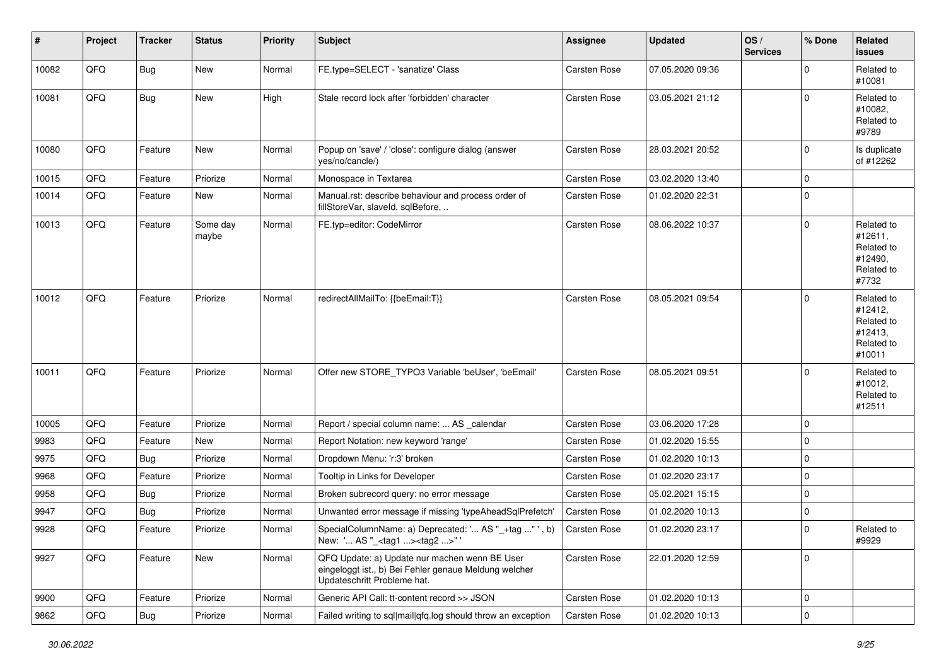| #     | Project | <b>Tracker</b> | <b>Status</b>     | <b>Priority</b> | <b>Subject</b>                                                                                                                        | <b>Assignee</b>     | <b>Updated</b>   | OS/<br><b>Services</b> | % Done              | Related<br><b>issues</b>                                               |
|-------|---------|----------------|-------------------|-----------------|---------------------------------------------------------------------------------------------------------------------------------------|---------------------|------------------|------------------------|---------------------|------------------------------------------------------------------------|
| 10082 | QFQ     | <b>Bug</b>     | New               | Normal          | FE.type=SELECT - 'sanatize' Class                                                                                                     | Carsten Rose        | 07.05.2020 09:36 |                        | 0                   | Related to<br>#10081                                                   |
| 10081 | QFQ     | Bug            | New               | High            | Stale record lock after 'forbidden' character                                                                                         | <b>Carsten Rose</b> | 03.05.2021 21:12 |                        | $\Omega$            | Related to<br>#10082,<br>Related to<br>#9789                           |
| 10080 | QFQ     | Feature        | New               | Normal          | Popup on 'save' / 'close': configure dialog (answer<br>yes/no/cancle/)                                                                | Carsten Rose        | 28.03.2021 20:52 |                        | 0                   | Is duplicate<br>of #12262                                              |
| 10015 | QFQ     | Feature        | Priorize          | Normal          | Monospace in Textarea                                                                                                                 | <b>Carsten Rose</b> | 03.02.2020 13:40 |                        | 0                   |                                                                        |
| 10014 | QFQ     | Feature        | New               | Normal          | Manual.rst: describe behaviour and process order of<br>fillStoreVar, slaveId, sqlBefore,                                              | Carsten Rose        | 01.02.2020 22:31 |                        | 0                   |                                                                        |
| 10013 | QFQ     | Feature        | Some day<br>maybe | Normal          | FE.typ=editor: CodeMirror                                                                                                             | Carsten Rose        | 08.06.2022 10:37 |                        | $\mathbf 0$         | Related to<br>#12611,<br>Related to<br>#12490,<br>Related to<br>#7732  |
| 10012 | QFQ     | Feature        | Priorize          | Normal          | redirectAllMailTo: {{beEmail:T}}                                                                                                      | <b>Carsten Rose</b> | 08.05.2021 09:54 |                        | $\Omega$            | Related to<br>#12412,<br>Related to<br>#12413,<br>Related to<br>#10011 |
| 10011 | QFQ     | Feature        | Priorize          | Normal          | Offer new STORE_TYPO3 Variable 'beUser', 'beEmail'                                                                                    | Carsten Rose        | 08.05.2021 09:51 |                        | $\mathbf 0$         | Related to<br>#10012,<br>Related to<br>#12511                          |
| 10005 | QFQ     | Feature        | Priorize          | Normal          | Report / special column name:  AS _calendar                                                                                           | Carsten Rose        | 03.06.2020 17:28 |                        | 0                   |                                                                        |
| 9983  | QFQ     | Feature        | New               | Normal          | Report Notation: new keyword 'range'                                                                                                  | Carsten Rose        | 01.02.2020 15:55 |                        | 0                   |                                                                        |
| 9975  | QFQ     | <b>Bug</b>     | Priorize          | Normal          | Dropdown Menu: 'r:3' broken                                                                                                           | Carsten Rose        | 01.02.2020 10:13 |                        | 0                   |                                                                        |
| 9968  | QFQ     | Feature        | Priorize          | Normal          | Tooltip in Links for Developer                                                                                                        | Carsten Rose        | 01.02.2020 23:17 |                        | 0                   |                                                                        |
| 9958  | QFQ     | Bug            | Priorize          | Normal          | Broken subrecord query: no error message                                                                                              | Carsten Rose        | 05.02.2021 15:15 |                        | 0                   |                                                                        |
| 9947  | QFQ     | <b>Bug</b>     | Priorize          | Normal          | Unwanted error message if missing 'typeAheadSqlPrefetch'                                                                              | <b>Carsten Rose</b> | 01.02.2020 10:13 |                        | 0                   |                                                                        |
| 9928  | QFQ     | Feature        | Priorize          | Normal          | SpecialColumnName: a) Deprecated: ' AS "_+tag " ', b)<br>New: ' AS "_ <tag1><tag2>"</tag2></tag1>                                     | <b>Carsten Rose</b> | 01.02.2020 23:17 |                        | $\mathbf 0$         | Related to<br>#9929                                                    |
| 9927  | QFQ     | Feature        | New               | Normal          | QFQ Update: a) Update nur machen wenn BE User<br>eingeloggt ist., b) Bei Fehler genaue Meldung welcher<br>Updateschritt Probleme hat. | Carsten Rose        | 22.01.2020 12:59 |                        | 0                   |                                                                        |
| 9900  | QFQ     | Feature        | Priorize          | Normal          | Generic API Call: tt-content record >> JSON                                                                                           | Carsten Rose        | 01.02.2020 10:13 |                        | $\mathbf 0$         |                                                                        |
| 9862  | QFG     | <b>Bug</b>     | Priorize          | Normal          | Failed writing to sql mail qfq.log should throw an exception                                                                          | Carsten Rose        | 01.02.2020 10:13 |                        | $\mathsf{O}\xspace$ |                                                                        |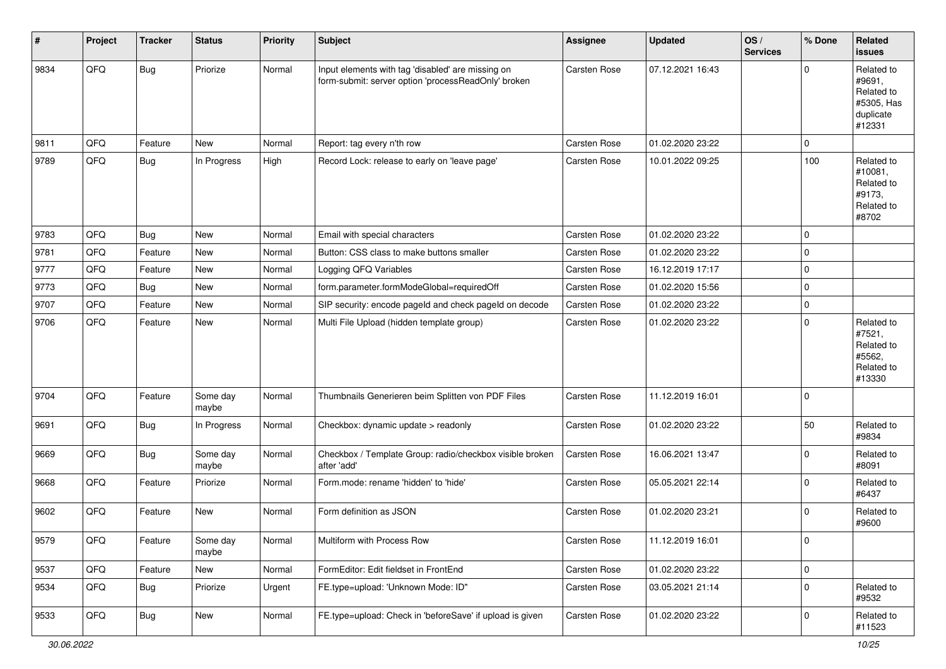| $\sharp$ | Project | <b>Tracker</b> | <b>Status</b>     | <b>Priority</b> | <b>Subject</b>                                                                                           | Assignee            | <b>Updated</b>   | OS/<br><b>Services</b> | % Done              | Related<br><b>issues</b>                                                |
|----------|---------|----------------|-------------------|-----------------|----------------------------------------------------------------------------------------------------------|---------------------|------------------|------------------------|---------------------|-------------------------------------------------------------------------|
| 9834     | QFQ     | <b>Bug</b>     | Priorize          | Normal          | Input elements with tag 'disabled' are missing on<br>form-submit: server option 'processReadOnly' broken | <b>Carsten Rose</b> | 07.12.2021 16:43 |                        | $\mathbf 0$         | Related to<br>#9691.<br>Related to<br>#5305, Has<br>duplicate<br>#12331 |
| 9811     | QFQ     | Feature        | New               | Normal          | Report: tag every n'th row                                                                               | <b>Carsten Rose</b> | 01.02.2020 23:22 |                        | $\mathbf 0$         |                                                                         |
| 9789     | QFQ     | Bug            | In Progress       | High            | Record Lock: release to early on 'leave page'                                                            | <b>Carsten Rose</b> | 10.01.2022 09:25 |                        | 100                 | Related to<br>#10081,<br>Related to<br>#9173.<br>Related to<br>#8702    |
| 9783     | QFQ     | <b>Bug</b>     | New               | Normal          | Email with special characters                                                                            | <b>Carsten Rose</b> | 01.02.2020 23:22 |                        | $\mathbf 0$         |                                                                         |
| 9781     | QFQ     | Feature        | New               | Normal          | Button: CSS class to make buttons smaller                                                                | Carsten Rose        | 01.02.2020 23:22 |                        | $\mathbf 0$         |                                                                         |
| 9777     | QFQ     | Feature        | New               | Normal          | Logging QFQ Variables                                                                                    | <b>Carsten Rose</b> | 16.12.2019 17:17 |                        | $\mathbf 0$         |                                                                         |
| 9773     | QFQ     | <b>Bug</b>     | New               | Normal          | form.parameter.formModeGlobal=requiredOff                                                                | Carsten Rose        | 01.02.2020 15:56 |                        | $\mathsf{O}\xspace$ |                                                                         |
| 9707     | QFQ     | Feature        | New               | Normal          | SIP security: encode pageld and check pageld on decode                                                   | Carsten Rose        | 01.02.2020 23:22 |                        | $\mathbf 0$         |                                                                         |
| 9706     | QFQ     | Feature        | New               | Normal          | Multi File Upload (hidden template group)                                                                | Carsten Rose        | 01.02.2020 23:22 |                        | 0                   | Related to<br>#7521,<br>Related to<br>#5562,<br>Related to<br>#13330    |
| 9704     | QFQ     | Feature        | Some day<br>maybe | Normal          | Thumbnails Generieren beim Splitten von PDF Files                                                        | <b>Carsten Rose</b> | 11.12.2019 16:01 |                        | $\mathbf 0$         |                                                                         |
| 9691     | QFQ     | Bug            | In Progress       | Normal          | Checkbox: dynamic update > readonly                                                                      | Carsten Rose        | 01.02.2020 23:22 |                        | 50                  | Related to<br>#9834                                                     |
| 9669     | QFQ     | <b>Bug</b>     | Some day<br>maybe | Normal          | Checkbox / Template Group: radio/checkbox visible broken<br>after 'add'                                  | <b>Carsten Rose</b> | 16.06.2021 13:47 |                        | $\mathbf{0}$        | Related to<br>#8091                                                     |
| 9668     | QFQ     | Feature        | Priorize          | Normal          | Form.mode: rename 'hidden' to 'hide'                                                                     | Carsten Rose        | 05.05.2021 22:14 |                        | $\mathbf 0$         | Related to<br>#6437                                                     |
| 9602     | QFQ     | Feature        | New               | Normal          | Form definition as JSON                                                                                  | Carsten Rose        | 01.02.2020 23:21 |                        | 0                   | Related to<br>#9600                                                     |
| 9579     | QFG     | Feature        | Some day<br>maybe | Normal          | Multiform with Process Row                                                                               | <b>Carsten Rose</b> | 11.12.2019 16:01 |                        | 0                   |                                                                         |
| 9537     | QFQ     | Feature        | New               | Normal          | FormEditor: Edit fieldset in FrontEnd                                                                    | Carsten Rose        | 01.02.2020 23:22 |                        | $\overline{0}$      |                                                                         |
| 9534     | QFQ     | <b>Bug</b>     | Priorize          | Urgent          | FE.type=upload: 'Unknown Mode: ID"                                                                       | Carsten Rose        | 03.05.2021 21:14 |                        | $\overline{0}$      | Related to<br>#9532                                                     |
| 9533     | QFQ     | Bug            | New               | Normal          | FE.type=upload: Check in 'beforeSave' if upload is given                                                 | Carsten Rose        | 01.02.2020 23:22 |                        | $\overline{0}$      | Related to<br>#11523                                                    |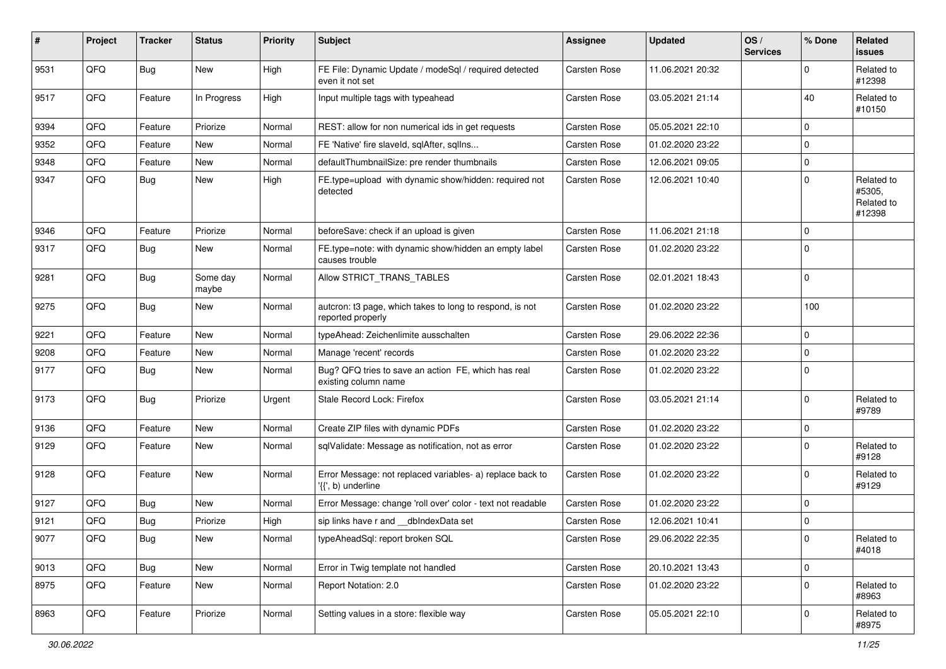| #    | Project | <b>Tracker</b> | <b>Status</b>     | <b>Priority</b> | <b>Subject</b>                                                                  | <b>Assignee</b> | <b>Updated</b>   | OS/<br><b>Services</b> | % Done      | Related<br>issues                            |
|------|---------|----------------|-------------------|-----------------|---------------------------------------------------------------------------------|-----------------|------------------|------------------------|-------------|----------------------------------------------|
| 9531 | QFQ     | <b>Bug</b>     | New               | High            | FE File: Dynamic Update / modeSql / required detected<br>even it not set        | Carsten Rose    | 11.06.2021 20:32 |                        | $\mathbf 0$ | Related to<br>#12398                         |
| 9517 | QFQ     | Feature        | In Progress       | High            | Input multiple tags with typeahead                                              | Carsten Rose    | 03.05.2021 21:14 |                        | 40          | Related to<br>#10150                         |
| 9394 | QFQ     | Feature        | Priorize          | Normal          | REST: allow for non numerical ids in get requests                               | Carsten Rose    | 05.05.2021 22:10 |                        | $\mathbf 0$ |                                              |
| 9352 | QFQ     | Feature        | New               | Normal          | FE 'Native' fire slaveld, sqlAfter, sqlIns                                      | Carsten Rose    | 01.02.2020 23:22 |                        | $\mathbf 0$ |                                              |
| 9348 | QFQ     | Feature        | New               | Normal          | defaultThumbnailSize: pre render thumbnails                                     | Carsten Rose    | 12.06.2021 09:05 |                        | $\mathbf 0$ |                                              |
| 9347 | QFQ     | Bug            | New               | High            | FE.type=upload with dynamic show/hidden: required not<br>detected               | Carsten Rose    | 12.06.2021 10:40 |                        | $\mathbf 0$ | Related to<br>#5305,<br>Related to<br>#12398 |
| 9346 | QFQ     | Feature        | Priorize          | Normal          | beforeSave: check if an upload is given                                         | Carsten Rose    | 11.06.2021 21:18 |                        | $\pmb{0}$   |                                              |
| 9317 | QFQ     | <b>Bug</b>     | New               | Normal          | FE.type=note: with dynamic show/hidden an empty label<br>causes trouble         | Carsten Rose    | 01.02.2020 23:22 |                        | $\mathbf 0$ |                                              |
| 9281 | QFQ     | <b>Bug</b>     | Some day<br>maybe | Normal          | Allow STRICT_TRANS_TABLES                                                       | Carsten Rose    | 02.01.2021 18:43 |                        | $\mathbf 0$ |                                              |
| 9275 | QFQ     | <b>Bug</b>     | New               | Normal          | autcron: t3 page, which takes to long to respond, is not<br>reported properly   | Carsten Rose    | 01.02.2020 23:22 |                        | 100         |                                              |
| 9221 | QFQ     | Feature        | New               | Normal          | typeAhead: Zeichenlimite ausschalten                                            | Carsten Rose    | 29.06.2022 22:36 |                        | $\mathbf 0$ |                                              |
| 9208 | QFQ     | Feature        | <b>New</b>        | Normal          | Manage 'recent' records                                                         | Carsten Rose    | 01.02.2020 23:22 |                        | $\pmb{0}$   |                                              |
| 9177 | QFQ     | <b>Bug</b>     | New               | Normal          | Bug? QFQ tries to save an action FE, which has real<br>existing column name     | Carsten Rose    | 01.02.2020 23:22 |                        | $\pmb{0}$   |                                              |
| 9173 | QFQ     | <b>Bug</b>     | Priorize          | Urgent          | Stale Record Lock: Firefox                                                      | Carsten Rose    | 03.05.2021 21:14 |                        | $\mathbf 0$ | Related to<br>#9789                          |
| 9136 | QFQ     | Feature        | New               | Normal          | Create ZIP files with dynamic PDFs                                              | Carsten Rose    | 01.02.2020 23:22 |                        | $\pmb{0}$   |                                              |
| 9129 | QFQ     | Feature        | <b>New</b>        | Normal          | sqlValidate: Message as notification, not as error                              | Carsten Rose    | 01.02.2020 23:22 |                        | $\mathbf 0$ | Related to<br>#9128                          |
| 9128 | QFQ     | Feature        | New               | Normal          | Error Message: not replaced variables- a) replace back to<br>'{{', b) underline | Carsten Rose    | 01.02.2020 23:22 |                        | $\pmb{0}$   | Related to<br>#9129                          |
| 9127 | QFQ     | Bug            | New               | Normal          | Error Message: change 'roll over' color - text not readable                     | Carsten Rose    | 01.02.2020 23:22 |                        | 0           |                                              |
| 9121 | QFQ     | <b>Bug</b>     | Priorize          | High            | sip links have r and __dbIndexData set                                          | Carsten Rose    | 12.06.2021 10:41 |                        | $\pmb{0}$   |                                              |
| 9077 | QFQ     | <b>Bug</b>     | New               | Normal          | typeAheadSql: report broken SQL                                                 | Carsten Rose    | 29.06.2022 22:35 |                        | 0           | Related to<br>#4018                          |
| 9013 | QFQ     | Bug            | New               | Normal          | Error in Twig template not handled                                              | Carsten Rose    | 20.10.2021 13:43 |                        | $\mathbf 0$ |                                              |
| 8975 | QFQ     | Feature        | New               | Normal          | Report Notation: 2.0                                                            | Carsten Rose    | 01.02.2020 23:22 |                        | $\pmb{0}$   | Related to<br>#8963                          |
| 8963 | QFQ     | Feature        | Priorize          | Normal          | Setting values in a store: flexible way                                         | Carsten Rose    | 05.05.2021 22:10 |                        | $\mathsf 0$ | Related to<br>#8975                          |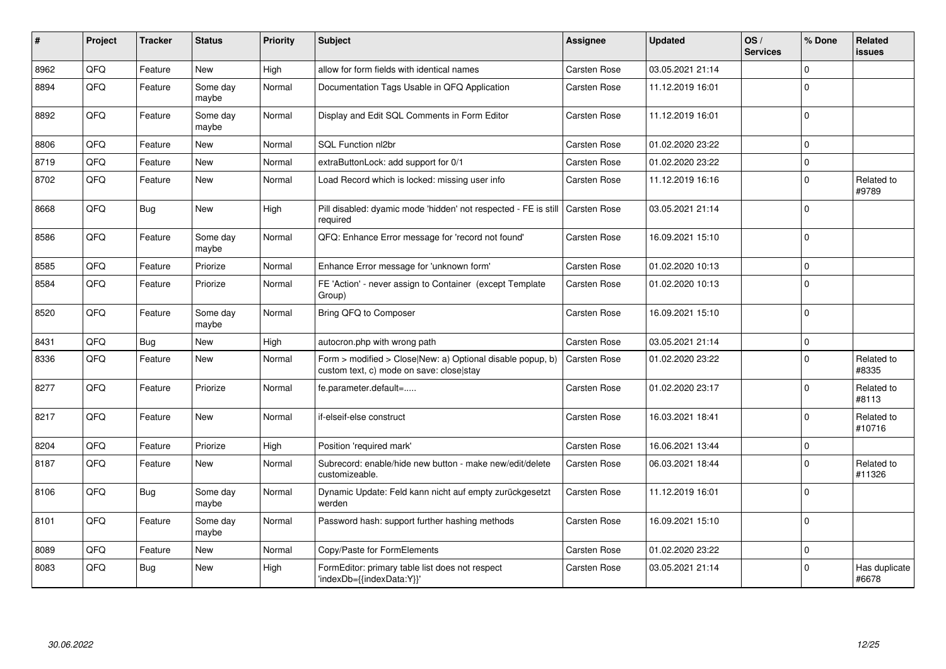| #    | Project | <b>Tracker</b> | <b>Status</b>     | <b>Priority</b> | <b>Subject</b>                                                                                         | <b>Assignee</b>     | <b>Updated</b>   | OS/<br><b>Services</b> | % Done      | Related<br><b>issues</b> |
|------|---------|----------------|-------------------|-----------------|--------------------------------------------------------------------------------------------------------|---------------------|------------------|------------------------|-------------|--------------------------|
| 8962 | QFQ     | Feature        | <b>New</b>        | High            | allow for form fields with identical names                                                             | Carsten Rose        | 03.05.2021 21:14 |                        | $\Omega$    |                          |
| 8894 | QFQ     | Feature        | Some day<br>maybe | Normal          | Documentation Tags Usable in QFQ Application                                                           | Carsten Rose        | 11.12.2019 16:01 |                        | $\Omega$    |                          |
| 8892 | QFQ     | Feature        | Some day<br>maybe | Normal          | Display and Edit SQL Comments in Form Editor                                                           | Carsten Rose        | 11.12.2019 16:01 |                        | $\mathbf 0$ |                          |
| 8806 | QFQ     | Feature        | <b>New</b>        | Normal          | SQL Function nl2br                                                                                     | Carsten Rose        | 01.02.2020 23:22 |                        | $\Omega$    |                          |
| 8719 | QFQ     | Feature        | <b>New</b>        | Normal          | extraButtonLock: add support for 0/1                                                                   | Carsten Rose        | 01.02.2020 23:22 |                        | $\Omega$    |                          |
| 8702 | QFQ     | Feature        | <b>New</b>        | Normal          | Load Record which is locked: missing user info                                                         | Carsten Rose        | 11.12.2019 16:16 |                        | $\Omega$    | Related to<br>#9789      |
| 8668 | QFQ     | Bug            | <b>New</b>        | High            | Pill disabled: dyamic mode 'hidden' not respected - FE is still<br>required                            | Carsten Rose        | 03.05.2021 21:14 |                        | $\Omega$    |                          |
| 8586 | QFQ     | Feature        | Some day<br>maybe | Normal          | QFQ: Enhance Error message for 'record not found'                                                      | Carsten Rose        | 16.09.2021 15:10 |                        | $\Omega$    |                          |
| 8585 | QFQ     | Feature        | Priorize          | Normal          | Enhance Error message for 'unknown form'                                                               | Carsten Rose        | 01.02.2020 10:13 |                        | $\mathbf 0$ |                          |
| 8584 | QFQ     | Feature        | Priorize          | Normal          | FE 'Action' - never assign to Container (except Template<br>Group)                                     | Carsten Rose        | 01.02.2020 10:13 |                        | $\Omega$    |                          |
| 8520 | QFQ     | Feature        | Some day<br>maybe | Normal          | Bring QFQ to Composer                                                                                  | Carsten Rose        | 16.09.2021 15:10 |                        | $\mathbf 0$ |                          |
| 8431 | QFQ     | <b>Bug</b>     | New               | High            | autocron.php with wrong path                                                                           | <b>Carsten Rose</b> | 03.05.2021 21:14 |                        | $\mathbf 0$ |                          |
| 8336 | QFQ     | Feature        | <b>New</b>        | Normal          | Form > modified > Close New: a) Optional disable popup, b)<br>custom text, c) mode on save: closelstay | Carsten Rose        | 01.02.2020 23:22 |                        | $\mathbf 0$ | Related to<br>#8335      |
| 8277 | QFQ     | Feature        | Priorize          | Normal          | fe.parameter.default=                                                                                  | Carsten Rose        | 01.02.2020 23:17 |                        | $\Omega$    | Related to<br>#8113      |
| 8217 | QFQ     | Feature        | <b>New</b>        | Normal          | if-elseif-else construct                                                                               | Carsten Rose        | 16.03.2021 18:41 |                        | $\Omega$    | Related to<br>#10716     |
| 8204 | QFQ     | Feature        | Priorize          | High            | Position 'required mark'                                                                               | Carsten Rose        | 16.06.2021 13:44 |                        | $\mathbf 0$ |                          |
| 8187 | QFQ     | Feature        | <b>New</b>        | Normal          | Subrecord: enable/hide new button - make new/edit/delete<br>customizeable.                             | Carsten Rose        | 06.03.2021 18:44 |                        | $\Omega$    | Related to<br>#11326     |
| 8106 | QFQ     | <b>Bug</b>     | Some day<br>maybe | Normal          | Dynamic Update: Feld kann nicht auf empty zurückgesetzt<br>werden                                      | <b>Carsten Rose</b> | 11.12.2019 16:01 |                        | $\mathbf 0$ |                          |
| 8101 | QFQ     | Feature        | Some day<br>maybe | Normal          | Password hash: support further hashing methods                                                         | Carsten Rose        | 16.09.2021 15:10 |                        | $\mathbf 0$ |                          |
| 8089 | QFQ     | Feature        | <b>New</b>        | Normal          | Copy/Paste for FormElements                                                                            | Carsten Rose        | 01.02.2020 23:22 |                        | $\mathbf 0$ |                          |
| 8083 | QFQ     | <b>Bug</b>     | <b>New</b>        | High            | FormEditor: primary table list does not respect<br>'indexDb={{indexData:Y}}'                           | Carsten Rose        | 03.05.2021 21:14 |                        | $\Omega$    | Has duplicate<br>#6678   |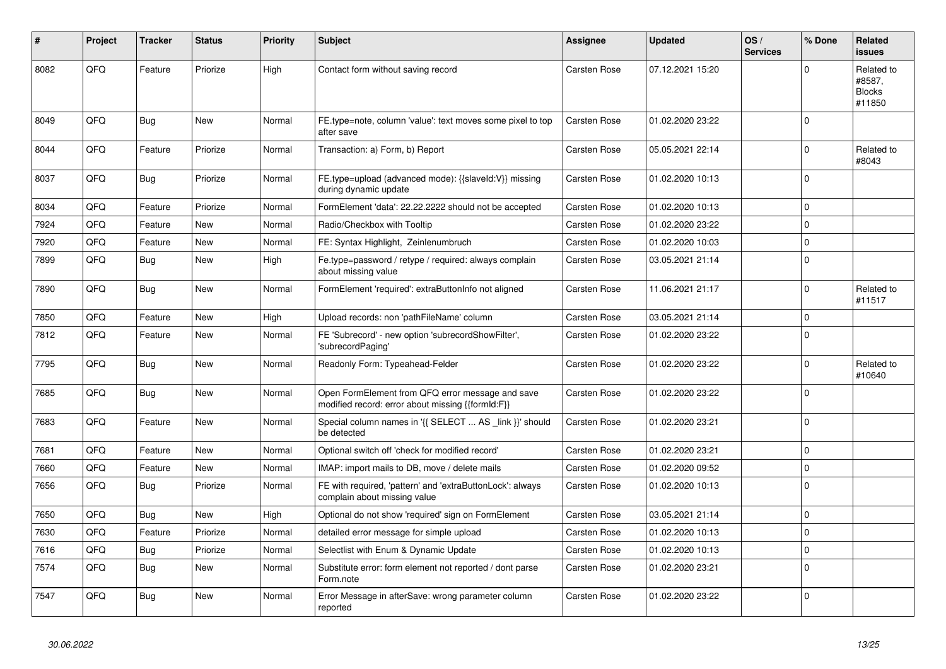| ∦    | Project | <b>Tracker</b> | <b>Status</b> | <b>Priority</b> | <b>Subject</b>                                                                                        | Assignee     | <b>Updated</b>   | OS/<br><b>Services</b> | % Done      | Related<br><b>issues</b>                        |
|------|---------|----------------|---------------|-----------------|-------------------------------------------------------------------------------------------------------|--------------|------------------|------------------------|-------------|-------------------------------------------------|
| 8082 | QFQ     | Feature        | Priorize      | High            | Contact form without saving record                                                                    | Carsten Rose | 07.12.2021 15:20 |                        | $\Omega$    | Related to<br>#8587,<br><b>Blocks</b><br>#11850 |
| 8049 | QFQ     | Bug            | <b>New</b>    | Normal          | FE.type=note, column 'value': text moves some pixel to top<br>after save                              | Carsten Rose | 01.02.2020 23:22 |                        | $\mathbf 0$ |                                                 |
| 8044 | QFQ     | Feature        | Priorize      | Normal          | Transaction: a) Form, b) Report                                                                       | Carsten Rose | 05.05.2021 22:14 |                        | $\Omega$    | Related to<br>#8043                             |
| 8037 | QFQ     | <b>Bug</b>     | Priorize      | Normal          | FE.type=upload (advanced mode): {{slaveld: V}} missing<br>during dynamic update                       | Carsten Rose | 01.02.2020 10:13 |                        | $\Omega$    |                                                 |
| 8034 | QFQ     | Feature        | Priorize      | Normal          | FormElement 'data': 22.22.2222 should not be accepted                                                 | Carsten Rose | 01.02.2020 10:13 |                        | $\mathbf 0$ |                                                 |
| 7924 | QFQ     | Feature        | <b>New</b>    | Normal          | Radio/Checkbox with Tooltip                                                                           | Carsten Rose | 01.02.2020 23:22 |                        | $\mathbf 0$ |                                                 |
| 7920 | QFQ     | Feature        | <b>New</b>    | Normal          | FE: Syntax Highlight, Zeinlenumbruch                                                                  | Carsten Rose | 01.02.2020 10:03 |                        | $\Omega$    |                                                 |
| 7899 | QFQ     | <b>Bug</b>     | New           | High            | Fe.type=password / retype / required: always complain<br>about missing value                          | Carsten Rose | 03.05.2021 21:14 |                        | $\Omega$    |                                                 |
| 7890 | QFQ     | Bug            | <b>New</b>    | Normal          | FormElement 'required': extraButtonInfo not aligned                                                   | Carsten Rose | 11.06.2021 21:17 |                        | $\Omega$    | Related to<br>#11517                            |
| 7850 | QFQ     | Feature        | <b>New</b>    | High            | Upload records: non 'pathFileName' column                                                             | Carsten Rose | 03.05.2021 21:14 |                        | $\mathbf 0$ |                                                 |
| 7812 | QFQ     | Feature        | <b>New</b>    | Normal          | FE 'Subrecord' - new option 'subrecordShowFilter',<br>'subrecordPaging'                               | Carsten Rose | 01.02.2020 23:22 |                        | $\mathbf 0$ |                                                 |
| 7795 | QFQ     | Bug            | <b>New</b>    | Normal          | Readonly Form: Typeahead-Felder                                                                       | Carsten Rose | 01.02.2020 23:22 |                        | $\mathbf 0$ | Related to<br>#10640                            |
| 7685 | QFQ     | <b>Bug</b>     | <b>New</b>    | Normal          | Open FormElement from QFQ error message and save<br>modified record: error about missing {{formId:F}} | Carsten Rose | 01.02.2020 23:22 |                        | $\Omega$    |                                                 |
| 7683 | QFQ     | Feature        | <b>New</b>    | Normal          | Special column names in '{{ SELECT  AS link }}' should<br>be detected                                 | Carsten Rose | 01.02.2020 23:21 |                        | $\mathbf 0$ |                                                 |
| 7681 | QFQ     | Feature        | <b>New</b>    | Normal          | Optional switch off 'check for modified record'                                                       | Carsten Rose | 01.02.2020 23:21 |                        | $\Omega$    |                                                 |
| 7660 | QFQ     | Feature        | <b>New</b>    | Normal          | IMAP: import mails to DB, move / delete mails                                                         | Carsten Rose | 01.02.2020 09:52 |                        | $\mathbf 0$ |                                                 |
| 7656 | QFQ     | Bug            | Priorize      | Normal          | FE with required, 'pattern' and 'extraButtonLock': always<br>complain about missing value             | Carsten Rose | 01.02.2020 10:13 |                        | $\mathbf 0$ |                                                 |
| 7650 | QFQ     | <b>Bug</b>     | <b>New</b>    | High            | Optional do not show 'required' sign on FormElement                                                   | Carsten Rose | 03.05.2021 21:14 |                        | $\Omega$    |                                                 |
| 7630 | QFQ     | Feature        | Priorize      | Normal          | detailed error message for simple upload                                                              | Carsten Rose | 01.02.2020 10:13 |                        | $\mathbf 0$ |                                                 |
| 7616 | QFQ     | Bug            | Priorize      | Normal          | Selectlist with Enum & Dynamic Update                                                                 | Carsten Rose | 01.02.2020 10:13 |                        | $\mathbf 0$ |                                                 |
| 7574 | QFQ     | Bug            | <b>New</b>    | Normal          | Substitute error: form element not reported / dont parse<br>Form.note                                 | Carsten Rose | 01.02.2020 23:21 |                        | $\Omega$    |                                                 |
| 7547 | QFQ     | Bug            | New           | Normal          | Error Message in afterSave: wrong parameter column<br>reported                                        | Carsten Rose | 01.02.2020 23:22 |                        | $\mathbf 0$ |                                                 |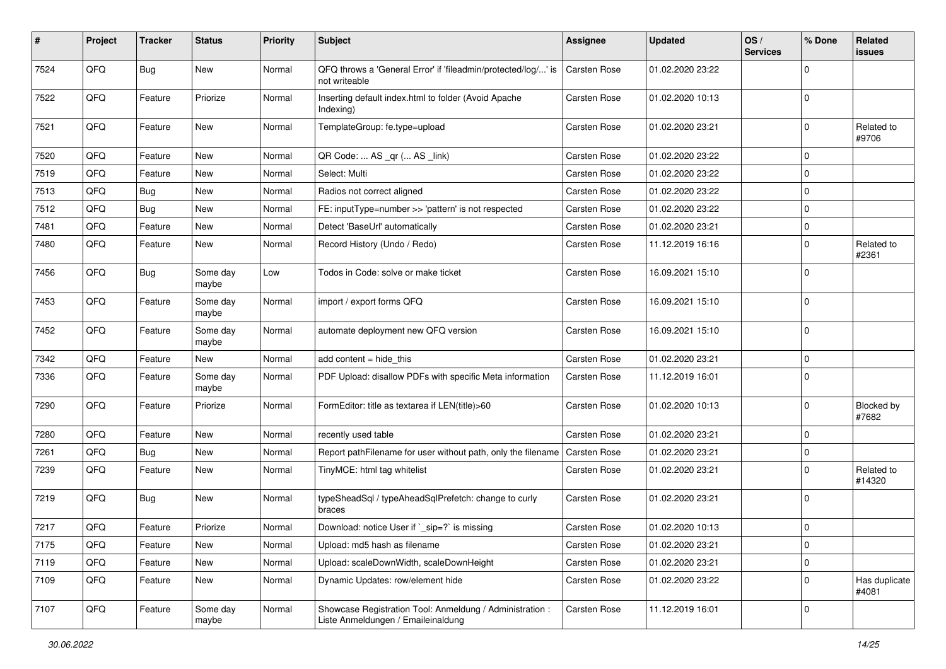| #    | Project | <b>Tracker</b> | <b>Status</b>     | <b>Priority</b> | <b>Subject</b>                                                                                 | <b>Assignee</b>     | <b>Updated</b>   | OS/<br><b>Services</b> | % Done      | Related<br>issues      |
|------|---------|----------------|-------------------|-----------------|------------------------------------------------------------------------------------------------|---------------------|------------------|------------------------|-------------|------------------------|
| 7524 | QFQ     | <b>Bug</b>     | <b>New</b>        | Normal          | QFQ throws a 'General Error' if 'fileadmin/protected/log/' is<br>not writeable                 | Carsten Rose        | 01.02.2020 23:22 |                        | $\Omega$    |                        |
| 7522 | QFQ     | Feature        | Priorize          | Normal          | Inserting default index.html to folder (Avoid Apache<br>Indexing)                              | Carsten Rose        | 01.02.2020 10:13 |                        | $\mathbf 0$ |                        |
| 7521 | QFQ     | Feature        | New               | Normal          | TemplateGroup: fe.type=upload                                                                  | Carsten Rose        | 01.02.2020 23:21 |                        | $\Omega$    | Related to<br>#9706    |
| 7520 | QFQ     | Feature        | New               | Normal          | QR Code:  AS _qr ( AS _link)                                                                   | Carsten Rose        | 01.02.2020 23:22 |                        | 0           |                        |
| 7519 | QFQ     | Feature        | New               | Normal          | Select: Multi                                                                                  | Carsten Rose        | 01.02.2020 23:22 |                        | $\Omega$    |                        |
| 7513 | QFQ     | <b>Bug</b>     | New               | Normal          | Radios not correct aligned                                                                     | Carsten Rose        | 01.02.2020 23:22 |                        | $\mathbf 0$ |                        |
| 7512 | QFQ     | <b>Bug</b>     | New               | Normal          | FE: inputType=number >> 'pattern' is not respected                                             | Carsten Rose        | 01.02.2020 23:22 |                        | $\mathbf 0$ |                        |
| 7481 | QFQ     | Feature        | New               | Normal          | Detect 'BaseUrl' automatically                                                                 | Carsten Rose        | 01.02.2020 23:21 |                        | 0           |                        |
| 7480 | QFQ     | Feature        | New               | Normal          | Record History (Undo / Redo)                                                                   | Carsten Rose        | 11.12.2019 16:16 |                        | $\mathbf 0$ | Related to<br>#2361    |
| 7456 | QFQ     | <b>Bug</b>     | Some day<br>maybe | Low             | Todos in Code: solve or make ticket                                                            | Carsten Rose        | 16.09.2021 15:10 |                        | $\mathbf 0$ |                        |
| 7453 | QFG     | Feature        | Some day<br>maybe | Normal          | import / export forms QFQ                                                                      | Carsten Rose        | 16.09.2021 15:10 |                        | $\Omega$    |                        |
| 7452 | QFQ     | Feature        | Some day<br>maybe | Normal          | automate deployment new QFQ version                                                            | Carsten Rose        | 16.09.2021 15:10 |                        | $\mathbf 0$ |                        |
| 7342 | QFQ     | Feature        | <b>New</b>        | Normal          | add content = hide_this                                                                        | Carsten Rose        | 01.02.2020 23:21 |                        | $\pmb{0}$   |                        |
| 7336 | QFQ     | Feature        | Some day<br>maybe | Normal          | PDF Upload: disallow PDFs with specific Meta information                                       | Carsten Rose        | 11.12.2019 16:01 |                        | $\Omega$    |                        |
| 7290 | QFQ     | Feature        | Priorize          | Normal          | FormEditor: title as textarea if LEN(title)>60                                                 | Carsten Rose        | 01.02.2020 10:13 |                        | $\mathbf 0$ | Blocked by<br>#7682    |
| 7280 | QFQ     | Feature        | <b>New</b>        | Normal          | recently used table                                                                            | Carsten Rose        | 01.02.2020 23:21 |                        | $\mathbf 0$ |                        |
| 7261 | QFQ     | <b>Bug</b>     | New               | Normal          | Report pathFilename for user without path, only the filename                                   | Carsten Rose        | 01.02.2020 23:21 |                        | 0           |                        |
| 7239 | QFQ     | Feature        | New               | Normal          | TinyMCE: html tag whitelist                                                                    | <b>Carsten Rose</b> | 01.02.2020 23:21 |                        | $\Omega$    | Related to<br>#14320   |
| 7219 | QFQ     | <b>Bug</b>     | New               | Normal          | typeSheadSql / typeAheadSqlPrefetch: change to curly<br>braces                                 | Carsten Rose        | 01.02.2020 23:21 |                        | $\mathbf 0$ |                        |
| 7217 | QFQ     | Feature        | Priorize          | Normal          | Download: notice User if `_sip=?` is missing                                                   | Carsten Rose        | 01.02.2020 10:13 |                        | $\mathbf 0$ |                        |
| 7175 | QFQ     | Feature        | New               | Normal          | Upload: md5 hash as filename                                                                   | Carsten Rose        | 01.02.2020 23:21 |                        | $\pmb{0}$   |                        |
| 7119 | QFQ     | Feature        | New               | Normal          | Upload: scaleDownWidth, scaleDownHeight                                                        | Carsten Rose        | 01.02.2020 23:21 |                        | $\pmb{0}$   |                        |
| 7109 | QFQ     | Feature        | New               | Normal          | Dynamic Updates: row/element hide                                                              | Carsten Rose        | 01.02.2020 23:22 |                        | $\mathbf 0$ | Has duplicate<br>#4081 |
| 7107 | QFQ     | Feature        | Some day<br>maybe | Normal          | Showcase Registration Tool: Anmeldung / Administration :<br>Liste Anmeldungen / Emaileinaldung | Carsten Rose        | 11.12.2019 16:01 |                        | 0           |                        |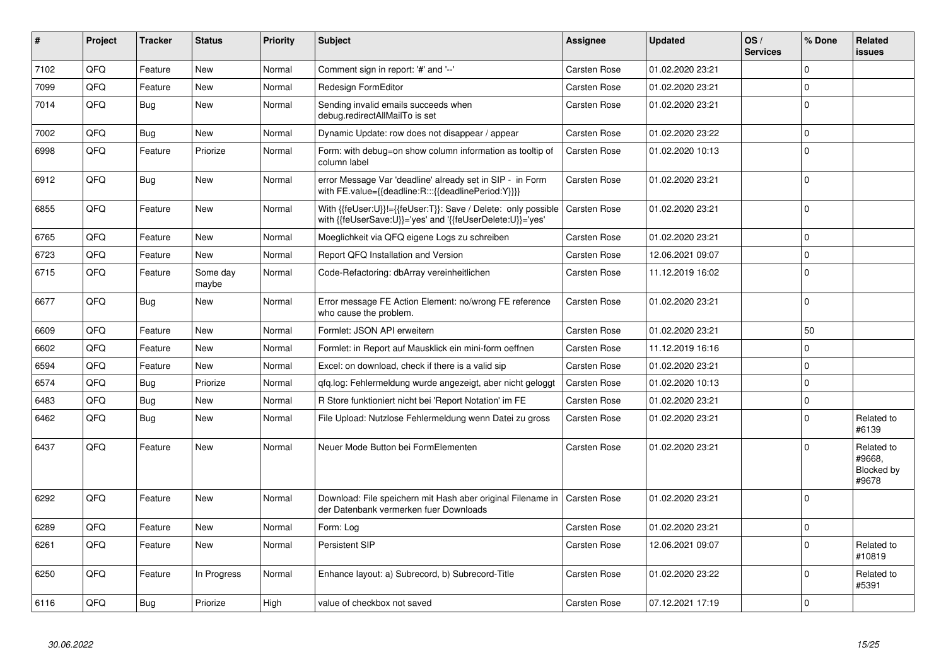| $\vert$ # | Project | <b>Tracker</b> | <b>Status</b>     | <b>Priority</b> | <b>Subject</b>                                                                                                             | Assignee            | <b>Updated</b>   | OS/<br><b>Services</b> | % Done      | Related<br>issues                           |
|-----------|---------|----------------|-------------------|-----------------|----------------------------------------------------------------------------------------------------------------------------|---------------------|------------------|------------------------|-------------|---------------------------------------------|
| 7102      | QFQ     | Feature        | <b>New</b>        | Normal          | Comment sign in report: '#' and '--'                                                                                       | Carsten Rose        | 01.02.2020 23:21 |                        | $\Omega$    |                                             |
| 7099      | QFQ     | Feature        | New               | Normal          | <b>Redesign FormEditor</b>                                                                                                 | Carsten Rose        | 01.02.2020 23:21 |                        | $\Omega$    |                                             |
| 7014      | QFQ     | Bug            | <b>New</b>        | Normal          | Sending invalid emails succeeds when<br>debug.redirectAllMailTo is set                                                     | Carsten Rose        | 01.02.2020 23:21 |                        | $\pmb{0}$   |                                             |
| 7002      | QFQ     | Bug            | <b>New</b>        | Normal          | Dynamic Update: row does not disappear / appear                                                                            | Carsten Rose        | 01.02.2020 23:22 |                        | $\Omega$    |                                             |
| 6998      | QFQ     | Feature        | Priorize          | Normal          | Form: with debug=on show column information as tooltip of<br>column label                                                  | Carsten Rose        | 01.02.2020 10:13 |                        | $\mathbf 0$ |                                             |
| 6912      | QFQ     | <b>Bug</b>     | New               | Normal          | error Message Var 'deadline' already set in SIP - in Form<br>with FE.value={{deadline:R:::{{deadlinePeriod:Y}}}}           | Carsten Rose        | 01.02.2020 23:21 |                        | $\Omega$    |                                             |
| 6855      | QFQ     | Feature        | <b>New</b>        | Normal          | With {{feUser:U}}!={{feUser:T}}: Save / Delete: only possible<br>with {{feUserSave:U}}='yes' and '{{feUserDelete:U}}='yes' | Carsten Rose        | 01.02.2020 23:21 |                        | $\Omega$    |                                             |
| 6765      | QFQ     | Feature        | <b>New</b>        | Normal          | Moeglichkeit via QFQ eigene Logs zu schreiben                                                                              | Carsten Rose        | 01.02.2020 23:21 |                        | $\Omega$    |                                             |
| 6723      | QFQ     | Feature        | <b>New</b>        | Normal          | Report QFQ Installation and Version                                                                                        | Carsten Rose        | 12.06.2021 09:07 |                        | $\Omega$    |                                             |
| 6715      | QFQ     | Feature        | Some day<br>maybe | Normal          | Code-Refactoring: dbArray vereinheitlichen                                                                                 | Carsten Rose        | 11.12.2019 16:02 |                        | $\Omega$    |                                             |
| 6677      | QFQ     | <b>Bug</b>     | <b>New</b>        | Normal          | Error message FE Action Element: no/wrong FE reference<br>who cause the problem.                                           | Carsten Rose        | 01.02.2020 23:21 |                        | $\Omega$    |                                             |
| 6609      | QFQ     | Feature        | <b>New</b>        | Normal          | Formlet: JSON API erweitern                                                                                                | Carsten Rose        | 01.02.2020 23:21 |                        | 50          |                                             |
| 6602      | QFQ     | Feature        | <b>New</b>        | Normal          | Formlet: in Report auf Mausklick ein mini-form oeffnen                                                                     | Carsten Rose        | 11.12.2019 16:16 |                        | 0           |                                             |
| 6594      | QFQ     | Feature        | <b>New</b>        | Normal          | Excel: on download, check if there is a valid sip                                                                          | Carsten Rose        | 01.02.2020 23:21 |                        | $\Omega$    |                                             |
| 6574      | QFQ     | Bug            | Priorize          | Normal          | gfg.log: Fehlermeldung wurde angezeigt, aber nicht geloggt                                                                 | Carsten Rose        | 01.02.2020 10:13 |                        | $\mathbf 0$ |                                             |
| 6483      | QFQ     | <b>Bug</b>     | <b>New</b>        | Normal          | R Store funktioniert nicht bei 'Report Notation' im FE                                                                     | <b>Carsten Rose</b> | 01.02.2020 23:21 |                        | $\Omega$    |                                             |
| 6462      | QFQ     | Bug            | <b>New</b>        | Normal          | File Upload: Nutzlose Fehlermeldung wenn Datei zu gross                                                                    | Carsten Rose        | 01.02.2020 23:21 |                        | $\Omega$    | Related to<br>#6139                         |
| 6437      | QFQ     | Feature        | <b>New</b>        | Normal          | Neuer Mode Button bei FormElementen                                                                                        | Carsten Rose        | 01.02.2020 23:21 |                        | $\Omega$    | Related to<br>#9668.<br>Blocked by<br>#9678 |
| 6292      | QFQ     | Feature        | <b>New</b>        | Normal          | Download: File speichern mit Hash aber original Filename in<br>der Datenbank vermerken fuer Downloads                      | <b>Carsten Rose</b> | 01.02.2020 23:21 |                        | $\Omega$    |                                             |
| 6289      | QFQ     | Feature        | New               | Normal          | Form: Log                                                                                                                  | Carsten Rose        | 01.02.2020 23:21 |                        | 0           |                                             |
| 6261      | QFQ     | Feature        | New               | Normal          | Persistent SIP                                                                                                             | Carsten Rose        | 12.06.2021 09:07 |                        | $\Omega$    | Related to<br>#10819                        |
| 6250      | QFQ     | Feature        | In Progress       | Normal          | Enhance layout: a) Subrecord, b) Subrecord-Title                                                                           | Carsten Rose        | 01.02.2020 23:22 |                        | $\Omega$    | Related to<br>#5391                         |
| 6116      | QFQ     | <b>Bug</b>     | Priorize          | High            | value of checkbox not saved                                                                                                | Carsten Rose        | 07.12.2021 17:19 |                        | $\Omega$    |                                             |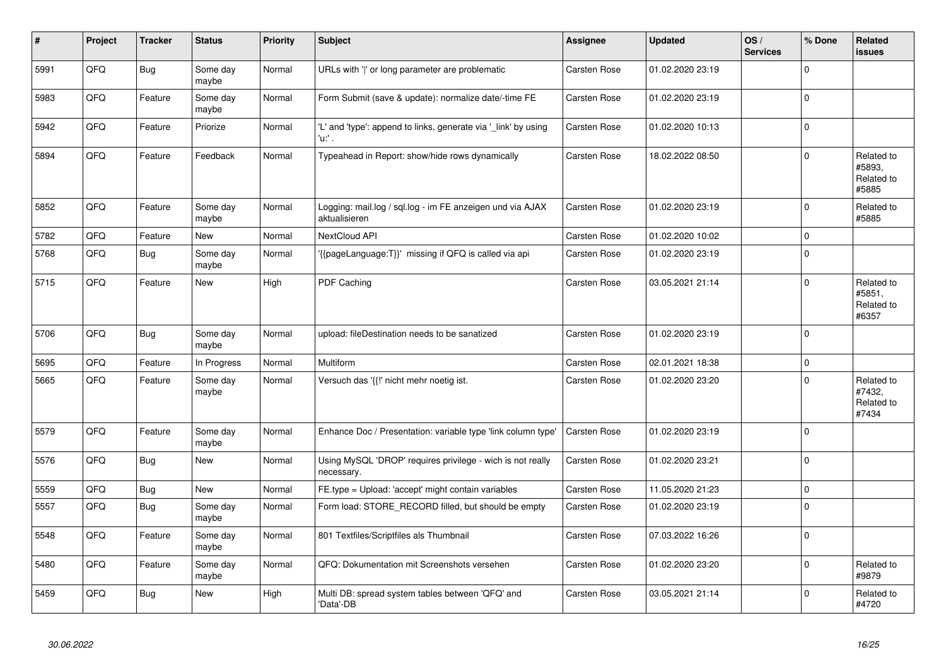| #    | Project | <b>Tracker</b> | <b>Status</b>     | <b>Priority</b> | <b>Subject</b>                                                             | Assignee            | <b>Updated</b>   | OS/<br><b>Services</b> | % Done      | Related<br><b>issues</b>                    |
|------|---------|----------------|-------------------|-----------------|----------------------------------------------------------------------------|---------------------|------------------|------------------------|-------------|---------------------------------------------|
| 5991 | QFQ     | <b>Bug</b>     | Some day<br>maybe | Normal          | URLs with 'I' or long parameter are problematic                            | <b>Carsten Rose</b> | 01.02.2020 23:19 |                        | $\mathbf 0$ |                                             |
| 5983 | QFQ     | Feature        | Some day<br>maybe | Normal          | Form Submit (save & update): normalize date/-time FE                       | Carsten Rose        | 01.02.2020 23:19 |                        | $\mathbf 0$ |                                             |
| 5942 | QFQ     | Feature        | Priorize          | Normal          | 'L' and 'type': append to links, generate via '_link' by using<br>'u:' .   | Carsten Rose        | 01.02.2020 10:13 |                        | $\mathbf 0$ |                                             |
| 5894 | QFQ     | Feature        | Feedback          | Normal          | Typeahead in Report: show/hide rows dynamically                            | <b>Carsten Rose</b> | 18.02.2022 08:50 |                        | $\Omega$    | Related to<br>#5893.<br>Related to<br>#5885 |
| 5852 | QFQ     | Feature        | Some day<br>maybe | Normal          | Logging: mail.log / sql.log - im FE anzeigen und via AJAX<br>aktualisieren | <b>Carsten Rose</b> | 01.02.2020 23:19 |                        | $\mathbf 0$ | Related to<br>#5885                         |
| 5782 | QFQ     | Feature        | New               | Normal          | NextCloud API                                                              | Carsten Rose        | 01.02.2020 10:02 |                        | $\mathbf 0$ |                                             |
| 5768 | QFQ     | Bug            | Some day<br>maybe | Normal          | '{{pageLanguage:T}}' missing if QFQ is called via api                      | Carsten Rose        | 01.02.2020 23:19 |                        | $\mathbf 0$ |                                             |
| 5715 | QFQ     | Feature        | New               | High            | PDF Caching                                                                | Carsten Rose        | 03.05.2021 21:14 |                        | $\mathbf 0$ | Related to<br>#5851,<br>Related to<br>#6357 |
| 5706 | QFQ     | <b>Bug</b>     | Some day<br>maybe | Normal          | upload: fileDestination needs to be sanatized                              | Carsten Rose        | 01.02.2020 23:19 |                        | $\Omega$    |                                             |
| 5695 | QFQ     | Feature        | In Progress       | Normal          | <b>Multiform</b>                                                           | <b>Carsten Rose</b> | 02.01.2021 18:38 |                        | $\mathbf 0$ |                                             |
| 5665 | QFQ     | Feature        | Some day<br>maybe | Normal          | Versuch das '{{!' nicht mehr noetig ist.                                   | Carsten Rose        | 01.02.2020 23:20 |                        | $\Omega$    | Related to<br>#7432,<br>Related to<br>#7434 |
| 5579 | QFQ     | Feature        | Some day<br>maybe | Normal          | Enhance Doc / Presentation: variable type 'link column type'               | <b>Carsten Rose</b> | 01.02.2020 23:19 |                        | $\mathbf 0$ |                                             |
| 5576 | QFQ     | Bug            | New               | Normal          | Using MySQL 'DROP' requires privilege - wich is not really<br>necessary.   | <b>Carsten Rose</b> | 01.02.2020 23:21 |                        | $\Omega$    |                                             |
| 5559 | QFQ     | <b>Bug</b>     | New               | Normal          | FE.type = Upload: 'accept' might contain variables                         | Carsten Rose        | 11.05.2020 21:23 |                        | $\pmb{0}$   |                                             |
| 5557 | QFQ     | <b>Bug</b>     | Some day<br>maybe | Normal          | Form load: STORE RECORD filled, but should be empty                        | Carsten Rose        | 01.02.2020 23:19 |                        | $\mathbf 0$ |                                             |
| 5548 | QFQ     | Feature        | Some day<br>maybe | Normal          | 801 Textfiles/Scriptfiles als Thumbnail                                    | Carsten Rose        | 07.03.2022 16:26 |                        | $\Omega$    |                                             |
| 5480 | QFQ     | Feature        | Some day<br>maybe | Normal          | QFQ: Dokumentation mit Screenshots versehen                                | <b>Carsten Rose</b> | 01.02.2020 23:20 |                        | $\pmb{0}$   | Related to<br>#9879                         |
| 5459 | QFQ     | Bug            | New               | High            | Multi DB: spread system tables between 'QFQ' and<br>'Data'-DB              | <b>Carsten Rose</b> | 03.05.2021 21:14 |                        | $\Omega$    | Related to<br>#4720                         |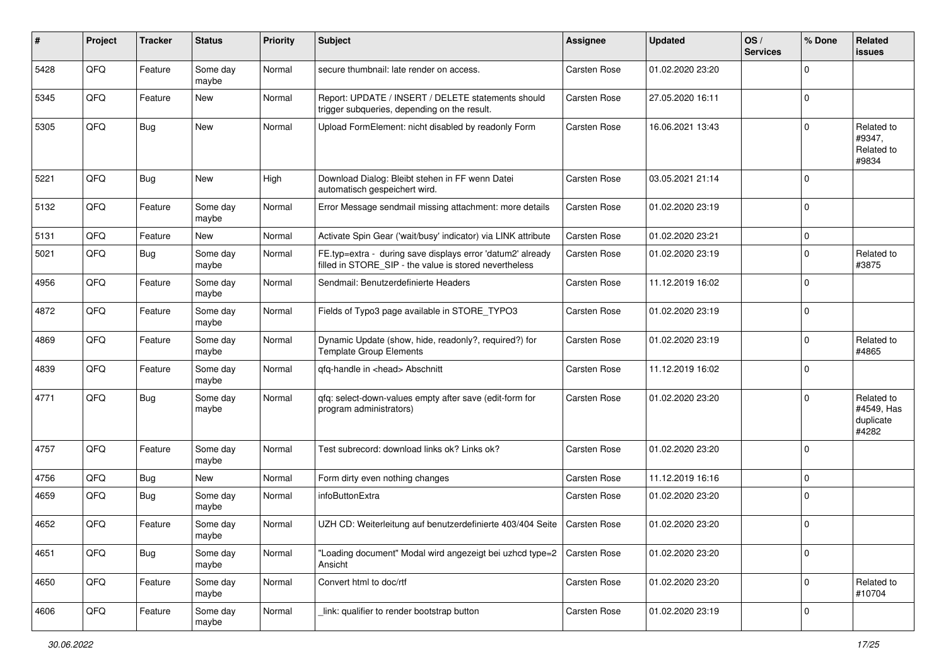| #    | Project | <b>Tracker</b> | <b>Status</b>     | <b>Priority</b> | <b>Subject</b>                                                                                                       | <b>Assignee</b>     | <b>Updated</b>   | OS/<br><b>Services</b> | % Done      | Related<br>issues                              |
|------|---------|----------------|-------------------|-----------------|----------------------------------------------------------------------------------------------------------------------|---------------------|------------------|------------------------|-------------|------------------------------------------------|
| 5428 | QFQ     | Feature        | Some day<br>maybe | Normal          | secure thumbnail: late render on access.                                                                             | <b>Carsten Rose</b> | 01.02.2020 23:20 |                        | $\mathbf 0$ |                                                |
| 5345 | QFQ     | Feature        | New               | Normal          | Report: UPDATE / INSERT / DELETE statements should<br>trigger subqueries, depending on the result.                   | <b>Carsten Rose</b> | 27.05.2020 16:11 |                        | $\pmb{0}$   |                                                |
| 5305 | QFQ     | Bug            | New               | Normal          | Upload FormElement: nicht disabled by readonly Form                                                                  | <b>Carsten Rose</b> | 16.06.2021 13:43 |                        | $\mathbf 0$ | Related to<br>#9347,<br>Related to<br>#9834    |
| 5221 | QFQ     | <b>Bug</b>     | New               | High            | Download Dialog: Bleibt stehen in FF wenn Datei<br>automatisch gespeichert wird.                                     | <b>Carsten Rose</b> | 03.05.2021 21:14 |                        | $\mathbf 0$ |                                                |
| 5132 | QFQ     | Feature        | Some day<br>maybe | Normal          | Error Message sendmail missing attachment: more details                                                              | <b>Carsten Rose</b> | 01.02.2020 23:19 |                        | $\mathbf 0$ |                                                |
| 5131 | QFQ     | Feature        | New               | Normal          | Activate Spin Gear ('wait/busy' indicator) via LINK attribute                                                        | Carsten Rose        | 01.02.2020 23:21 |                        | 0           |                                                |
| 5021 | QFQ     | <b>Bug</b>     | Some day<br>maybe | Normal          | FE.typ=extra - during save displays error 'datum2' already<br>filled in STORE SIP - the value is stored nevertheless | Carsten Rose        | 01.02.2020 23:19 |                        | $\mathbf 0$ | Related to<br>#3875                            |
| 4956 | QFQ     | Feature        | Some day<br>maybe | Normal          | Sendmail: Benutzerdefinierte Headers                                                                                 | Carsten Rose        | 11.12.2019 16:02 |                        | $\mathbf 0$ |                                                |
| 4872 | QFQ     | Feature        | Some day<br>maybe | Normal          | Fields of Typo3 page available in STORE_TYPO3                                                                        | Carsten Rose        | 01.02.2020 23:19 |                        | $\pmb{0}$   |                                                |
| 4869 | QFQ     | Feature        | Some day<br>maybe | Normal          | Dynamic Update (show, hide, readonly?, required?) for<br><b>Template Group Elements</b>                              | Carsten Rose        | 01.02.2020 23:19 |                        | $\mathbf 0$ | Related to<br>#4865                            |
| 4839 | QFQ     | Feature        | Some day<br>maybe | Normal          | qfq-handle in <head> Abschnitt</head>                                                                                | Carsten Rose        | 11.12.2019 16:02 |                        | $\mathbf 0$ |                                                |
| 4771 | QFQ     | Bug            | Some day<br>maybe | Normal          | qfq: select-down-values empty after save (edit-form for<br>program administrators)                                   | Carsten Rose        | 01.02.2020 23:20 |                        | $\mathbf 0$ | Related to<br>#4549, Has<br>duplicate<br>#4282 |
| 4757 | QFQ     | Feature        | Some day<br>maybe | Normal          | Test subrecord: download links ok? Links ok?                                                                         | <b>Carsten Rose</b> | 01.02.2020 23:20 |                        | $\mathbf 0$ |                                                |
| 4756 | QFQ     | Bug            | New               | Normal          | Form dirty even nothing changes                                                                                      | <b>Carsten Rose</b> | 11.12.2019 16:16 |                        | $\pmb{0}$   |                                                |
| 4659 | QFQ     | Bug            | Some day<br>maybe | Normal          | infoButtonExtra                                                                                                      | Carsten Rose        | 01.02.2020 23:20 |                        | $\pmb{0}$   |                                                |
| 4652 | QFQ     | Feature        | Some day<br>maybe | Normal          | UZH CD: Weiterleitung auf benutzerdefinierte 403/404 Seite                                                           | Carsten Rose        | 01.02.2020 23:20 |                        | $\pmb{0}$   |                                                |
| 4651 | QFQ     | Bug            | Some day<br>maybe | Normal          | "Loading document" Modal wird angezeigt bei uzhcd type=2<br>Ansicht                                                  | Carsten Rose        | 01.02.2020 23:20 |                        | $\mathbf 0$ |                                                |
| 4650 | QFQ     | Feature        | Some day<br>maybe | Normal          | Convert html to doc/rtf                                                                                              | Carsten Rose        | 01.02.2020 23:20 |                        | $\mathbf 0$ | Related to<br>#10704                           |
| 4606 | QFQ     | Feature        | Some day<br>maybe | Normal          | link: qualifier to render bootstrap button                                                                           | Carsten Rose        | 01.02.2020 23:19 |                        | $\mathbf 0$ |                                                |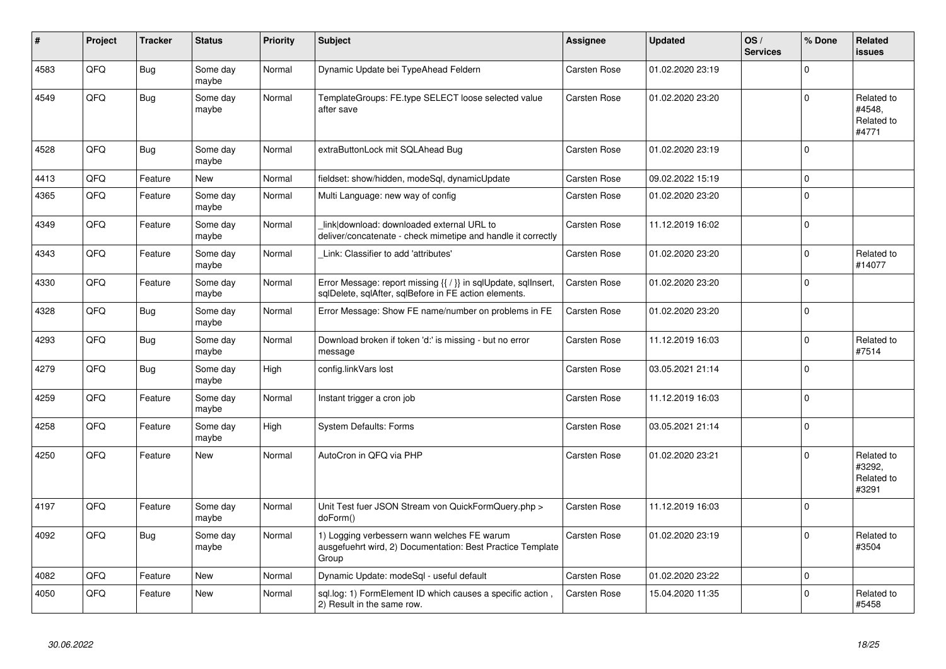| #    | Project | <b>Tracker</b> | <b>Status</b>     | <b>Priority</b> | <b>Subject</b>                                                                                                          | Assignee            | <b>Updated</b>   | OS/<br><b>Services</b> | % Done      | <b>Related</b><br><b>issues</b>             |
|------|---------|----------------|-------------------|-----------------|-------------------------------------------------------------------------------------------------------------------------|---------------------|------------------|------------------------|-------------|---------------------------------------------|
| 4583 | QFQ     | <b>Bug</b>     | Some day<br>maybe | Normal          | Dynamic Update bei TypeAhead Feldern                                                                                    | Carsten Rose        | 01.02.2020 23:19 |                        | $\mathbf 0$ |                                             |
| 4549 | QFQ     | <b>Bug</b>     | Some day<br>maybe | Normal          | TemplateGroups: FE.type SELECT loose selected value<br>after save                                                       | Carsten Rose        | 01.02.2020 23:20 |                        | $\mathbf 0$ | Related to<br>#4548,<br>Related to<br>#4771 |
| 4528 | QFQ     | <b>Bug</b>     | Some day<br>maybe | Normal          | extraButtonLock mit SQLAhead Bug                                                                                        | Carsten Rose        | 01.02.2020 23:19 |                        | $\Omega$    |                                             |
| 4413 | QFQ     | Feature        | <b>New</b>        | Normal          | fieldset: show/hidden, modeSgl, dynamicUpdate                                                                           | Carsten Rose        | 09.02.2022 15:19 |                        | $\mathbf 0$ |                                             |
| 4365 | QFQ     | Feature        | Some day<br>maybe | Normal          | Multi Language: new way of config                                                                                       | Carsten Rose        | 01.02.2020 23:20 |                        | $\mathbf 0$ |                                             |
| 4349 | QFQ     | Feature        | Some day<br>maybe | Normal          | link download: downloaded external URL to<br>deliver/concatenate - check mimetipe and handle it correctly               | Carsten Rose        | 11.12.2019 16:02 |                        | $\mathbf 0$ |                                             |
| 4343 | QFQ     | Feature        | Some day<br>maybe | Normal          | Link: Classifier to add 'attributes'                                                                                    | Carsten Rose        | 01.02.2020 23:20 |                        | $\pmb{0}$   | Related to<br>#14077                        |
| 4330 | QFQ     | Feature        | Some day<br>maybe | Normal          | Error Message: report missing {{ / }} in sqlUpdate, sqlInsert,<br>sqlDelete, sqlAfter, sqlBefore in FE action elements. | Carsten Rose        | 01.02.2020 23:20 |                        | $\mathbf 0$ |                                             |
| 4328 | QFQ     | Bug            | Some day<br>maybe | Normal          | Error Message: Show FE name/number on problems in FE                                                                    | Carsten Rose        | 01.02.2020 23:20 |                        | $\mathbf 0$ |                                             |
| 4293 | QFQ     | Bug            | Some day<br>maybe | Normal          | Download broken if token 'd:' is missing - but no error<br>message                                                      | Carsten Rose        | 11.12.2019 16:03 |                        | $\mathbf 0$ | Related to<br>#7514                         |
| 4279 | QFQ     | <b>Bug</b>     | Some day<br>maybe | High            | config.linkVars lost                                                                                                    | <b>Carsten Rose</b> | 03.05.2021 21:14 |                        | $\mathbf 0$ |                                             |
| 4259 | QFQ     | Feature        | Some day<br>maybe | Normal          | Instant trigger a cron job                                                                                              | Carsten Rose        | 11.12.2019 16:03 |                        | $\Omega$    |                                             |
| 4258 | QFQ     | Feature        | Some day<br>maybe | High            | <b>System Defaults: Forms</b>                                                                                           | Carsten Rose        | 03.05.2021 21:14 |                        | $\pmb{0}$   |                                             |
| 4250 | QFQ     | Feature        | <b>New</b>        | Normal          | AutoCron in QFQ via PHP                                                                                                 | Carsten Rose        | 01.02.2020 23:21 |                        | $\Omega$    | Related to<br>#3292,<br>Related to<br>#3291 |
| 4197 | QFQ     | Feature        | Some day<br>maybe | Normal          | Unit Test fuer JSON Stream von QuickFormQuery.php ><br>doForm()                                                         | Carsten Rose        | 11.12.2019 16:03 |                        | $\mathbf 0$ |                                             |
| 4092 | QFQ     | <b>Bug</b>     | Some day<br>maybe | Normal          | 1) Logging verbessern wann welches FE warum<br>ausgefuehrt wird, 2) Documentation: Best Practice Template<br>Group      | Carsten Rose        | 01.02.2020 23:19 |                        | $\mathbf 0$ | Related to<br>#3504                         |
| 4082 | QFQ     | Feature        | New               | Normal          | Dynamic Update: modeSql - useful default                                                                                | Carsten Rose        | 01.02.2020 23:22 |                        | $\pmb{0}$   |                                             |
| 4050 | QFQ     | Feature        | New               | Normal          | sql.log: 1) FormElement ID which causes a specific action<br>2) Result in the same row.                                 | Carsten Rose        | 15.04.2020 11:35 |                        | $\mathbf 0$ | Related to<br>#5458                         |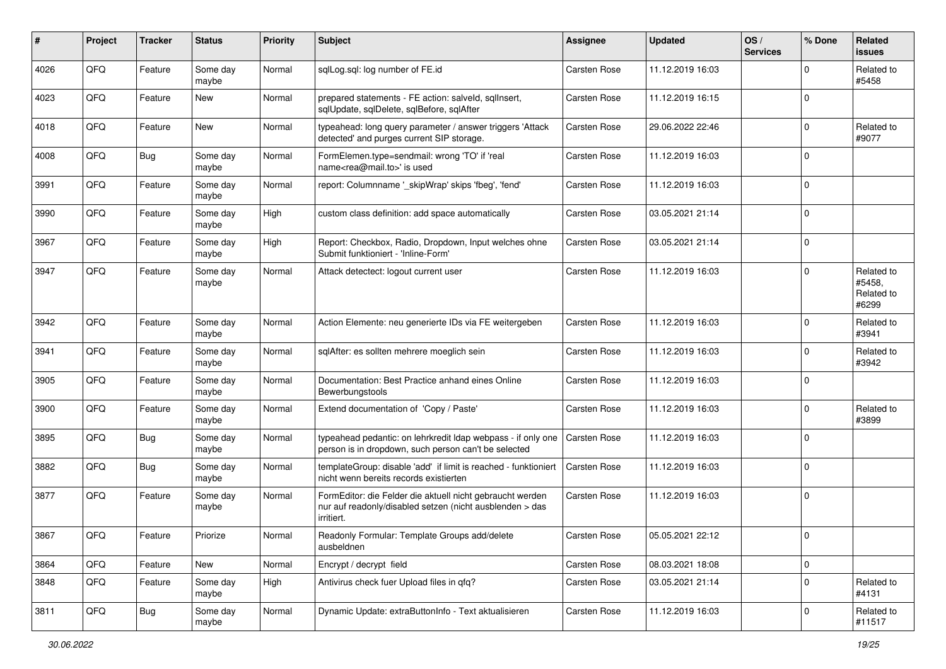| #    | Project | <b>Tracker</b> | <b>Status</b>     | <b>Priority</b> | <b>Subject</b>                                                                                                                      | <b>Assignee</b>     | <b>Updated</b>   | OS/<br><b>Services</b> | % Done      | Related<br>issues                           |
|------|---------|----------------|-------------------|-----------------|-------------------------------------------------------------------------------------------------------------------------------------|---------------------|------------------|------------------------|-------------|---------------------------------------------|
| 4026 | QFQ     | Feature        | Some day<br>maybe | Normal          | sqlLog.sql: log number of FE.id                                                                                                     | <b>Carsten Rose</b> | 11.12.2019 16:03 |                        | $\mathbf 0$ | Related to<br>#5458                         |
| 4023 | QFQ     | Feature        | New               | Normal          | prepared statements - FE action: salveld, sqllnsert,<br>sqlUpdate, sqlDelete, sqlBefore, sqlAfter                                   | Carsten Rose        | 11.12.2019 16:15 |                        | $\Omega$    |                                             |
| 4018 | QFQ     | Feature        | New               | Normal          | typeahead: long query parameter / answer triggers 'Attack<br>detected' and purges current SIP storage.                              | Carsten Rose        | 29.06.2022 22:46 |                        | $\Omega$    | Related to<br>#9077                         |
| 4008 | QFQ     | <b>Bug</b>     | Some day<br>maybe | Normal          | FormElemen.type=sendmail: wrong 'TO' if 'real<br>name <rea@mail.to>' is used</rea@mail.to>                                          | Carsten Rose        | 11.12.2019 16:03 |                        | $\Omega$    |                                             |
| 3991 | QFQ     | Feature        | Some day<br>maybe | Normal          | report: Columnname '_skipWrap' skips 'fbeg', 'fend'                                                                                 | Carsten Rose        | 11.12.2019 16:03 |                        | $\Omega$    |                                             |
| 3990 | QFQ     | Feature        | Some day<br>maybe | High            | custom class definition: add space automatically                                                                                    | <b>Carsten Rose</b> | 03.05.2021 21:14 |                        | $\Omega$    |                                             |
| 3967 | QFQ     | Feature        | Some day<br>maybe | High            | Report: Checkbox, Radio, Dropdown, Input welches ohne<br>Submit funktioniert - 'Inline-Form'                                        | Carsten Rose        | 03.05.2021 21:14 |                        | $\Omega$    |                                             |
| 3947 | QFQ     | Feature        | Some day<br>maybe | Normal          | Attack detectect: logout current user                                                                                               | Carsten Rose        | 11.12.2019 16:03 |                        | $\Omega$    | Related to<br>#5458.<br>Related to<br>#6299 |
| 3942 | QFQ     | Feature        | Some day<br>maybe | Normal          | Action Elemente: neu generierte IDs via FE weitergeben                                                                              | <b>Carsten Rose</b> | 11.12.2019 16:03 |                        | $\Omega$    | Related to<br>#3941                         |
| 3941 | QFQ     | Feature        | Some day<br>maybe | Normal          | sqlAfter: es sollten mehrere moeglich sein                                                                                          | Carsten Rose        | 11.12.2019 16:03 |                        | $\mathbf 0$ | Related to<br>#3942                         |
| 3905 | QFQ     | Feature        | Some day<br>maybe | Normal          | Documentation: Best Practice anhand eines Online<br>Bewerbungstools                                                                 | <b>Carsten Rose</b> | 11.12.2019 16:03 |                        | $\Omega$    |                                             |
| 3900 | QFQ     | Feature        | Some day<br>maybe | Normal          | Extend documentation of 'Copy / Paste'                                                                                              | <b>Carsten Rose</b> | 11.12.2019 16:03 |                        | $\mathbf 0$ | Related to<br>#3899                         |
| 3895 | QFQ     | <b>Bug</b>     | Some day<br>maybe | Normal          | typeahead pedantic: on lehrkredit Idap webpass - if only one<br>person is in dropdown, such person can't be selected                | Carsten Rose        | 11.12.2019 16:03 |                        | $\Omega$    |                                             |
| 3882 | QFQ     | <b>Bug</b>     | Some day<br>maybe | Normal          | templateGroup: disable 'add' if limit is reached - funktioniert<br>nicht wenn bereits records existierten                           | Carsten Rose        | 11.12.2019 16:03 |                        | $\Omega$    |                                             |
| 3877 | QFQ     | Feature        | Some day<br>maybe | Normal          | FormEditor: die Felder die aktuell nicht gebraucht werden<br>nur auf readonly/disabled setzen (nicht ausblenden > das<br>irritiert. | Carsten Rose        | 11.12.2019 16:03 |                        | $\mathbf 0$ |                                             |
| 3867 | QFQ     | Feature        | Priorize          | Normal          | Readonly Formular: Template Groups add/delete<br>ausbeldnen                                                                         | Carsten Rose        | 05.05.2021 22:12 |                        |             |                                             |
| 3864 | QFQ     | Feature        | New               | Normal          | Encrypt / decrypt field                                                                                                             | Carsten Rose        | 08.03.2021 18:08 |                        | 0           |                                             |
| 3848 | QFQ     | Feature        | Some day<br>maybe | High            | Antivirus check fuer Upload files in qfq?                                                                                           | Carsten Rose        | 03.05.2021 21:14 |                        | 0           | Related to<br>#4131                         |
| 3811 | QFQ     | <b>Bug</b>     | Some day<br>maybe | Normal          | Dynamic Update: extraButtonInfo - Text aktualisieren                                                                                | Carsten Rose        | 11.12.2019 16:03 |                        | $\pmb{0}$   | Related to<br>#11517                        |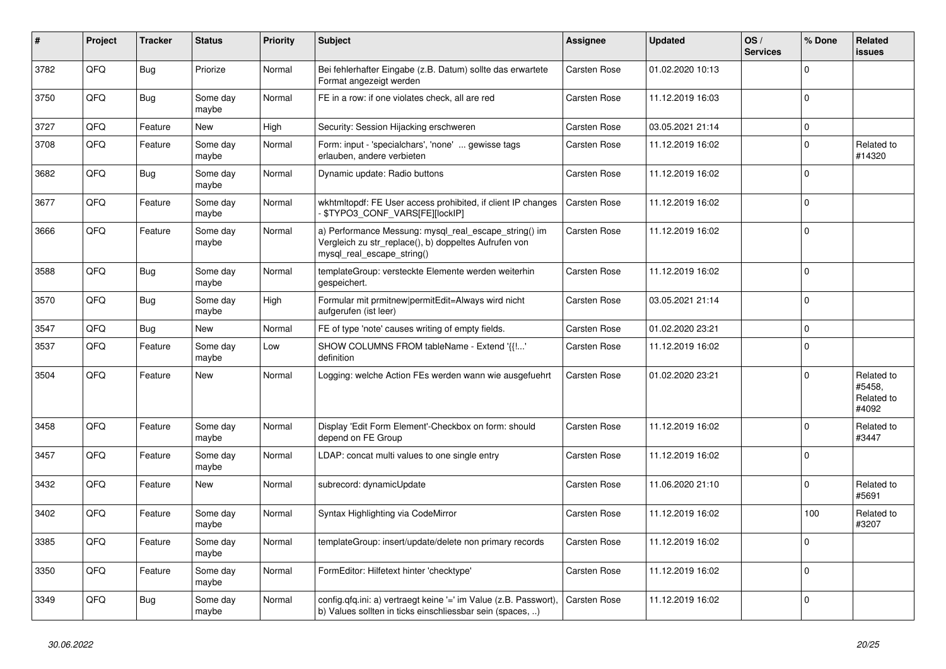| #    | Project | <b>Tracker</b> | <b>Status</b>     | <b>Priority</b> | <b>Subject</b>                                                                                                                               | Assignee            | <b>Updated</b>   | OS/<br><b>Services</b> | % Done      | Related<br><b>issues</b>                    |
|------|---------|----------------|-------------------|-----------------|----------------------------------------------------------------------------------------------------------------------------------------------|---------------------|------------------|------------------------|-------------|---------------------------------------------|
| 3782 | QFQ     | <b>Bug</b>     | Priorize          | Normal          | Bei fehlerhafter Eingabe (z.B. Datum) sollte das erwartete<br>Format angezeigt werden                                                        | Carsten Rose        | 01.02.2020 10:13 |                        | $\Omega$    |                                             |
| 3750 | QFQ     | <b>Bug</b>     | Some day<br>maybe | Normal          | FE in a row: if one violates check, all are red                                                                                              | Carsten Rose        | 11.12.2019 16:03 |                        | $\Omega$    |                                             |
| 3727 | QFQ     | Feature        | New               | High            | Security: Session Hijacking erschweren                                                                                                       | Carsten Rose        | 03.05.2021 21:14 |                        | $\mathbf 0$ |                                             |
| 3708 | QFQ     | Feature        | Some day<br>maybe | Normal          | Form: input - 'specialchars', 'none'  gewisse tags<br>erlauben, andere verbieten                                                             | Carsten Rose        | 11.12.2019 16:02 |                        | $\mathbf 0$ | Related to<br>#14320                        |
| 3682 | QFQ     | Bug            | Some day<br>maybe | Normal          | Dynamic update: Radio buttons                                                                                                                | Carsten Rose        | 11.12.2019 16:02 |                        | $\Omega$    |                                             |
| 3677 | QFQ     | Feature        | Some day<br>maybe | Normal          | wkhtmitopdf: FE User access prohibited, if client IP changes<br>\$TYPO3_CONF_VARS[FE][lockIP]                                                | <b>Carsten Rose</b> | 11.12.2019 16:02 |                        | $\Omega$    |                                             |
| 3666 | QFQ     | Feature        | Some day<br>maybe | Normal          | a) Performance Messung: mysql_real_escape_string() im<br>Vergleich zu str_replace(), b) doppeltes Aufrufen von<br>mysql real escape string() | Carsten Rose        | 11.12.2019 16:02 |                        | $\mathbf 0$ |                                             |
| 3588 | QFQ     | Bug            | Some day<br>maybe | Normal          | templateGroup: versteckte Elemente werden weiterhin<br>gespeichert.                                                                          | Carsten Rose        | 11.12.2019 16:02 |                        | $\Omega$    |                                             |
| 3570 | QFQ     | <b>Bug</b>     | Some day<br>maybe | High            | Formular mit prmitnew permitEdit=Always wird nicht<br>aufgerufen (ist leer)                                                                  | Carsten Rose        | 03.05.2021 21:14 |                        | $\mathbf 0$ |                                             |
| 3547 | QFQ     | Bug            | New               | Normal          | FE of type 'note' causes writing of empty fields.                                                                                            | Carsten Rose        | 01.02.2020 23:21 |                        | $\mathbf 0$ |                                             |
| 3537 | QFQ     | Feature        | Some day<br>maybe | Low             | SHOW COLUMNS FROM tableName - Extend '{{!'<br>definition                                                                                     | Carsten Rose        | 11.12.2019 16:02 |                        | $\mathbf 0$ |                                             |
| 3504 | QFQ     | Feature        | <b>New</b>        | Normal          | Logging: welche Action FEs werden wann wie ausgefuehrt                                                                                       | <b>Carsten Rose</b> | 01.02.2020 23:21 |                        | $\Omega$    | Related to<br>#5458.<br>Related to<br>#4092 |
| 3458 | QFQ     | Feature        | Some day<br>maybe | Normal          | Display 'Edit Form Element'-Checkbox on form: should<br>depend on FE Group                                                                   | Carsten Rose        | 11.12.2019 16:02 |                        | $\Omega$    | Related to<br>#3447                         |
| 3457 | QFQ     | Feature        | Some day<br>maybe | Normal          | LDAP: concat multi values to one single entry                                                                                                | Carsten Rose        | 11.12.2019 16:02 |                        | $\Omega$    |                                             |
| 3432 | QFQ     | Feature        | New               | Normal          | subrecord: dynamicUpdate                                                                                                                     | Carsten Rose        | 11.06.2020 21:10 |                        | $\mathbf 0$ | Related to<br>#5691                         |
| 3402 | QFQ     | Feature        | Some day<br>maybe | Normal          | Syntax Highlighting via CodeMirror                                                                                                           | Carsten Rose        | 11.12.2019 16:02 |                        | 100         | Related to<br>#3207                         |
| 3385 | QFQ     | Feature        | Some day<br>maybe | Normal          | templateGroup: insert/update/delete non primary records                                                                                      | Carsten Rose        | 11.12.2019 16:02 |                        | $\Omega$    |                                             |
| 3350 | QFQ     | Feature        | Some day<br>maybe | Normal          | FormEditor: Hilfetext hinter 'checktype'                                                                                                     | Carsten Rose        | 11.12.2019 16:02 |                        | $\mathbf 0$ |                                             |
| 3349 | QFQ     | <b>Bug</b>     | Some day<br>maybe | Normal          | config.qfq.ini: a) vertraegt keine '=' im Value (z.B. Passwort),<br>b) Values sollten in ticks einschliessbar sein (spaces, )                | Carsten Rose        | 11.12.2019 16:02 |                        | $\mathbf 0$ |                                             |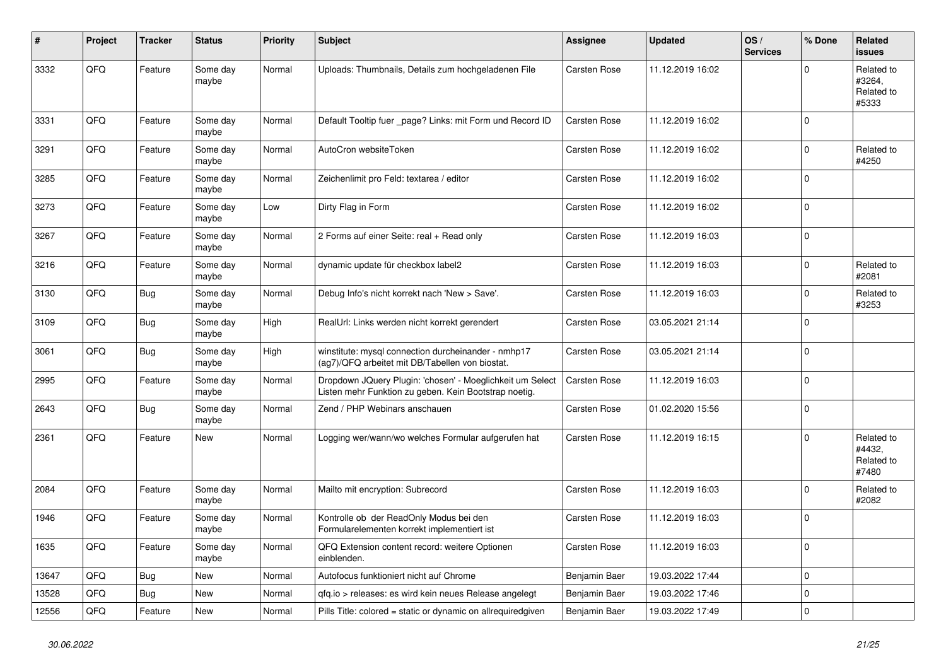| #     | Project | <b>Tracker</b> | <b>Status</b>     | <b>Priority</b> | <b>Subject</b>                                                                                                     | Assignee      | <b>Updated</b>   | OS/<br><b>Services</b> | % Done      | Related<br><b>issues</b>                    |
|-------|---------|----------------|-------------------|-----------------|--------------------------------------------------------------------------------------------------------------------|---------------|------------------|------------------------|-------------|---------------------------------------------|
| 3332  | QFQ     | Feature        | Some day<br>maybe | Normal          | Uploads: Thumbnails, Details zum hochgeladenen File                                                                | Carsten Rose  | 11.12.2019 16:02 |                        | $\Omega$    | Related to<br>#3264,<br>Related to<br>#5333 |
| 3331  | QFQ     | Feature        | Some day<br>maybe | Normal          | Default Tooltip fuer _page? Links: mit Form und Record ID                                                          | Carsten Rose  | 11.12.2019 16:02 |                        | $\mathbf 0$ |                                             |
| 3291  | QFQ     | Feature        | Some day<br>maybe | Normal          | AutoCron websiteToken                                                                                              | Carsten Rose  | 11.12.2019 16:02 |                        | $\Omega$    | Related to<br>#4250                         |
| 3285  | QFQ     | Feature        | Some day<br>maybe | Normal          | Zeichenlimit pro Feld: textarea / editor                                                                           | Carsten Rose  | 11.12.2019 16:02 |                        | $\Omega$    |                                             |
| 3273  | QFQ     | Feature        | Some day<br>maybe | Low             | Dirty Flag in Form                                                                                                 | Carsten Rose  | 11.12.2019 16:02 |                        | $\mathbf 0$ |                                             |
| 3267  | QFQ     | Feature        | Some day<br>maybe | Normal          | 2 Forms auf einer Seite: real + Read only                                                                          | Carsten Rose  | 11.12.2019 16:03 |                        | $\Omega$    |                                             |
| 3216  | QFQ     | Feature        | Some day<br>maybe | Normal          | dynamic update für checkbox label2                                                                                 | Carsten Rose  | 11.12.2019 16:03 |                        | $\mathbf 0$ | Related to<br>#2081                         |
| 3130  | QFQ     | Bug            | Some day<br>maybe | Normal          | Debug Info's nicht korrekt nach 'New > Save'.                                                                      | Carsten Rose  | 11.12.2019 16:03 |                        | $\mathbf 0$ | Related to<br>#3253                         |
| 3109  | QFQ     | <b>Bug</b>     | Some day<br>maybe | High            | RealUrl: Links werden nicht korrekt gerendert                                                                      | Carsten Rose  | 03.05.2021 21:14 |                        | $\Omega$    |                                             |
| 3061  | QFQ     | <b>Bug</b>     | Some day<br>maybe | High            | winstitute: mysql connection durcheinander - nmhp17<br>(ag7)/QFQ arbeitet mit DB/Tabellen von biostat.             | Carsten Rose  | 03.05.2021 21:14 |                        | $\mathbf 0$ |                                             |
| 2995  | QFQ     | Feature        | Some day<br>maybe | Normal          | Dropdown JQuery Plugin: 'chosen' - Moeglichkeit um Select<br>Listen mehr Funktion zu geben. Kein Bootstrap noetig. | Carsten Rose  | 11.12.2019 16:03 |                        | $\mathbf 0$ |                                             |
| 2643  | QFQ     | <b>Bug</b>     | Some day<br>maybe | Normal          | Zend / PHP Webinars anschauen                                                                                      | Carsten Rose  | 01.02.2020 15:56 |                        | $\Omega$    |                                             |
| 2361  | QFQ     | Feature        | <b>New</b>        | Normal          | Logging wer/wann/wo welches Formular aufgerufen hat                                                                | Carsten Rose  | 11.12.2019 16:15 |                        | $\mathbf 0$ | Related to<br>#4432,<br>Related to<br>#7480 |
| 2084  | QFQ     | Feature        | Some day<br>maybe | Normal          | Mailto mit encryption: Subrecord                                                                                   | Carsten Rose  | 11.12.2019 16:03 |                        | $\mathbf 0$ | Related to<br>#2082                         |
| 1946  | QFQ     | Feature        | Some day<br>maybe | Normal          | Kontrolle ob der ReadOnly Modus bei den<br>Formularelementen korrekt implementiert ist                             | Carsten Rose  | 11.12.2019 16:03 |                        | $\mathbf 0$ |                                             |
| 1635  | QFQ     | Feature        | Some day<br>maybe | Normal          | QFQ Extension content record: weitere Optionen<br>einblenden.                                                      | Carsten Rose  | 11.12.2019 16:03 |                        | $\Omega$    |                                             |
| 13647 | QFQ     | <b>Bug</b>     | <b>New</b>        | Normal          | Autofocus funktioniert nicht auf Chrome                                                                            | Benjamin Baer | 19.03.2022 17:44 |                        | $\mathbf 0$ |                                             |
| 13528 | QFQ     | Bug            | <b>New</b>        | Normal          | gfg.io > releases: es wird kein neues Release angelegt                                                             | Benjamin Baer | 19.03.2022 17:46 |                        | $\pmb{0}$   |                                             |
| 12556 | QFQ     | Feature        | <b>New</b>        | Normal          | Pills Title: colored = static or dynamic on allrequiredgiven                                                       | Benjamin Baer | 19.03.2022 17:49 |                        | $\mathbf 0$ |                                             |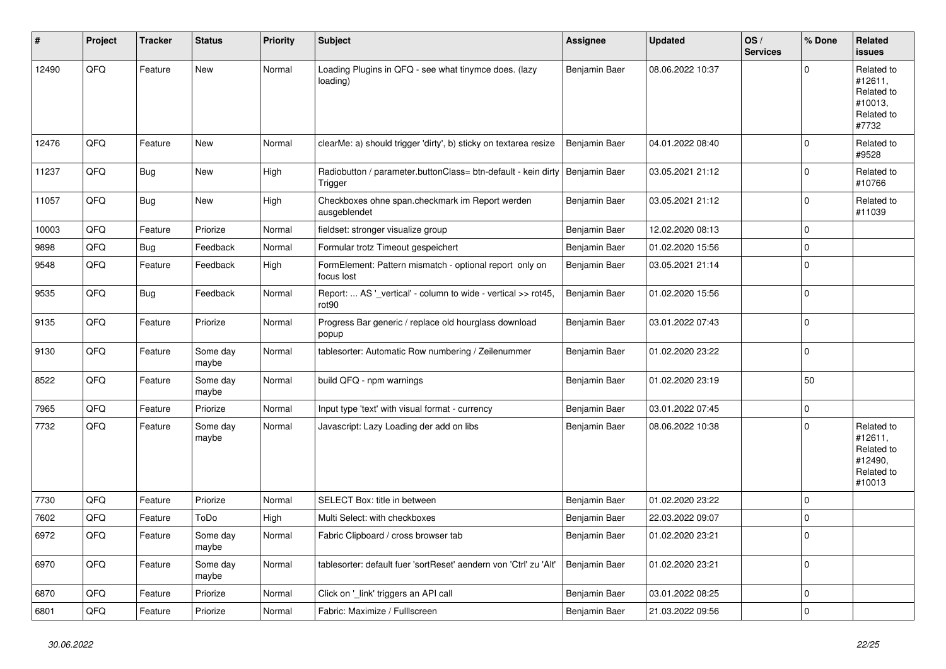| #     | Project | <b>Tracker</b> | <b>Status</b>     | <b>Priority</b> | <b>Subject</b>                                                                           | <b>Assignee</b> | <b>Updated</b>   | OS/<br><b>Services</b> | % Done      | Related<br>issues                                                      |
|-------|---------|----------------|-------------------|-----------------|------------------------------------------------------------------------------------------|-----------------|------------------|------------------------|-------------|------------------------------------------------------------------------|
| 12490 | QFQ     | Feature        | New               | Normal          | Loading Plugins in QFQ - see what tinymce does. (lazy<br>loading)                        | Benjamin Baer   | 08.06.2022 10:37 |                        | $\Omega$    | Related to<br>#12611,<br>Related to<br>#10013,<br>Related to<br>#7732  |
| 12476 | QFQ     | Feature        | New               | Normal          | clearMe: a) should trigger 'dirty', b) sticky on textarea resize                         | Benjamin Baer   | 04.01.2022 08:40 |                        | $\mathbf 0$ | Related to<br>#9528                                                    |
| 11237 | QFQ     | <b>Bug</b>     | New               | High            | Radiobutton / parameter.buttonClass= btn-default - kein dirty   Benjamin Baer<br>Trigger |                 | 03.05.2021 21:12 |                        | $\Omega$    | Related to<br>#10766                                                   |
| 11057 | QFQ     | <b>Bug</b>     | <b>New</b>        | High            | Checkboxes ohne span.checkmark im Report werden<br>ausgeblendet                          | Benjamin Baer   | 03.05.2021 21:12 |                        | 0           | Related to<br>#11039                                                   |
| 10003 | QFQ     | Feature        | Priorize          | Normal          | fieldset: stronger visualize group                                                       | Benjamin Baer   | 12.02.2020 08:13 |                        | $\Omega$    |                                                                        |
| 9898  | QFQ     | Bug            | Feedback          | Normal          | Formular trotz Timeout gespeichert                                                       | Benjamin Baer   | 01.02.2020 15:56 |                        | 0           |                                                                        |
| 9548  | QFQ     | Feature        | Feedback          | High            | FormElement: Pattern mismatch - optional report only on<br>focus lost                    | Benjamin Baer   | 03.05.2021 21:14 |                        | $\mathbf 0$ |                                                                        |
| 9535  | QFQ     | <b>Bug</b>     | Feedback          | Normal          | Report:  AS '_vertical' - column to wide - vertical >> rot45<br>rot90                    | Benjamin Baer   | 01.02.2020 15:56 |                        | 0           |                                                                        |
| 9135  | QFQ     | Feature        | Priorize          | Normal          | Progress Bar generic / replace old hourglass download<br>popup                           | Benjamin Baer   | 03.01.2022 07:43 |                        | 0           |                                                                        |
| 9130  | QFQ     | Feature        | Some day<br>maybe | Normal          | tablesorter: Automatic Row numbering / Zeilenummer                                       | Benjamin Baer   | 01.02.2020 23:22 |                        | $\Omega$    |                                                                        |
| 8522  | QFQ     | Feature        | Some day<br>maybe | Normal          | build QFQ - npm warnings                                                                 | Benjamin Baer   | 01.02.2020 23:19 |                        | 50          |                                                                        |
| 7965  | QFQ     | Feature        | Priorize          | Normal          | Input type 'text' with visual format - currency                                          | Benjamin Baer   | 03.01.2022 07:45 |                        | $\pmb{0}$   |                                                                        |
| 7732  | QFQ     | Feature        | Some day<br>maybe | Normal          | Javascript: Lazy Loading der add on libs                                                 | Benjamin Baer   | 08.06.2022 10:38 |                        | $\Omega$    | Related to<br>#12611,<br>Related to<br>#12490,<br>Related to<br>#10013 |
| 7730  | QFQ     | Feature        | Priorize          | Normal          | SELECT Box: title in between                                                             | Benjamin Baer   | 01.02.2020 23:22 |                        | $\Omega$    |                                                                        |
| 7602  | QFQ     | Feature        | ToDo              | High            | Multi Select: with checkboxes                                                            | Benjamin Baer   | 22.03.2022 09:07 |                        | $\Omega$    |                                                                        |
| 6972  | QFQ     | Feature        | Some day<br>maybe | Normal          | Fabric Clipboard / cross browser tab                                                     | Benjamin Baer   | 01.02.2020 23:21 |                        | $\Omega$    |                                                                        |
| 6970  | QFQ     | Feature        | Some day<br>maybe | Normal          | tablesorter: default fuer 'sortReset' aendern von 'Ctrl' zu 'Alt'                        | Benjamin Baer   | 01.02.2020 23:21 |                        | $\Omega$    |                                                                        |
| 6870  | QFQ     | Feature        | Priorize          | Normal          | Click on '_link' triggers an API call                                                    | Benjamin Baer   | 03.01.2022 08:25 |                        | 0           |                                                                        |
| 6801  | QFQ     | Feature        | Priorize          | Normal          | Fabric: Maximize / Fulllscreen                                                           | Benjamin Baer   | 21.03.2022 09:56 |                        | $\mathbf 0$ |                                                                        |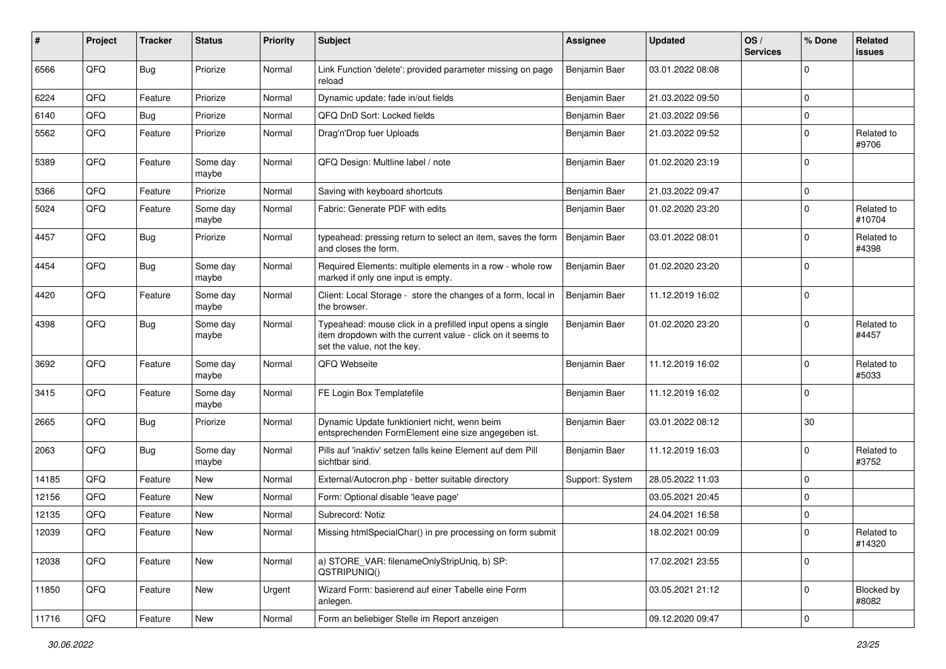| #     | Project | <b>Tracker</b> | <b>Status</b>     | <b>Priority</b> | <b>Subject</b>                                                                                                                                           | <b>Assignee</b> | <b>Updated</b>   | OS/<br><b>Services</b> | % Done      | Related<br>issues          |
|-------|---------|----------------|-------------------|-----------------|----------------------------------------------------------------------------------------------------------------------------------------------------------|-----------------|------------------|------------------------|-------------|----------------------------|
| 6566  | QFQ     | Bug            | Priorize          | Normal          | Link Function 'delete': provided parameter missing on page<br>reload                                                                                     | Benjamin Baer   | 03.01.2022 08:08 |                        | $\mathbf 0$ |                            |
| 6224  | QFQ     | Feature        | Priorize          | Normal          | Dynamic update: fade in/out fields                                                                                                                       | Benjamin Baer   | 21.03.2022 09:50 |                        | 0           |                            |
| 6140  | QFQ     | Bug            | Priorize          | Normal          | QFQ DnD Sort: Locked fields                                                                                                                              | Benjamin Baer   | 21.03.2022 09:56 |                        | $\mathbf 0$ |                            |
| 5562  | QFQ     | Feature        | Priorize          | Normal          | Drag'n'Drop fuer Uploads                                                                                                                                 | Benjamin Baer   | 21.03.2022 09:52 |                        | 0           | Related to<br>#9706        |
| 5389  | QFQ     | Feature        | Some day<br>maybe | Normal          | QFQ Design: Multline label / note                                                                                                                        | Benjamin Baer   | 01.02.2020 23:19 |                        | $\mathbf 0$ |                            |
| 5366  | QFQ     | Feature        | Priorize          | Normal          | Saving with keyboard shortcuts                                                                                                                           | Benjamin Baer   | 21.03.2022 09:47 |                        | $\pmb{0}$   |                            |
| 5024  | QFQ     | Feature        | Some day<br>maybe | Normal          | Fabric: Generate PDF with edits                                                                                                                          | Benjamin Baer   | 01.02.2020 23:20 |                        | 0           | Related to<br>#10704       |
| 4457  | QFQ     | Bug            | Priorize          | Normal          | typeahead: pressing return to select an item, saves the form<br>and closes the form.                                                                     | Benjamin Baer   | 03.01.2022 08:01 |                        | $\mathbf 0$ | Related to<br>#4398        |
| 4454  | QFQ     | Bug            | Some day<br>maybe | Normal          | Required Elements: multiple elements in a row - whole row<br>marked if only one input is empty.                                                          | Benjamin Baer   | 01.02.2020 23:20 |                        | $\mathbf 0$ |                            |
| 4420  | QFQ     | Feature        | Some day<br>maybe | Normal          | Client: Local Storage - store the changes of a form, local in<br>the browser.                                                                            | Benjamin Baer   | 11.12.2019 16:02 |                        | $\mathbf 0$ |                            |
| 4398  | QFQ     | Bug            | Some day<br>maybe | Normal          | Typeahead: mouse click in a prefilled input opens a single<br>item dropdown with the current value - click on it seems to<br>set the value, not the key. | Benjamin Baer   | 01.02.2020 23:20 |                        | $\mathbf 0$ | Related to<br>#4457        |
| 3692  | QFQ     | Feature        | Some day<br>maybe | Normal          | QFQ Webseite                                                                                                                                             | Benjamin Baer   | 11.12.2019 16:02 |                        | 0           | Related to<br>#5033        |
| 3415  | QFQ     | Feature        | Some day<br>maybe | Normal          | FE Login Box Templatefile                                                                                                                                | Benjamin Baer   | 11.12.2019 16:02 |                        | 0           |                            |
| 2665  | QFQ     | Bug            | Priorize          | Normal          | Dynamic Update funktioniert nicht, wenn beim<br>entsprechenden FormElement eine size angegeben ist.                                                      | Benjamin Baer   | 03.01.2022 08:12 |                        | 30          |                            |
| 2063  | QFQ     | <b>Bug</b>     | Some day<br>maybe | Normal          | Pills auf 'inaktiv' setzen falls keine Element auf dem Pill<br>sichtbar sind.                                                                            | Benjamin Baer   | 11.12.2019 16:03 |                        | $\mathbf 0$ | Related to<br>#3752        |
| 14185 | QFQ     | Feature        | New               | Normal          | External/Autocron.php - better suitable directory                                                                                                        | Support: System | 28.05.2022 11:03 |                        | $\mathbf 0$ |                            |
| 12156 | QFQ     | Feature        | New               | Normal          | Form: Optional disable 'leave page'                                                                                                                      |                 | 03.05.2021 20:45 |                        | $\mathbf 0$ |                            |
| 12135 | QFQ     | Feature        | <b>New</b>        | Normal          | Subrecord: Notiz                                                                                                                                         |                 | 24.04.2021 16:58 |                        | $\pmb{0}$   |                            |
| 12039 | QFQ     | Feature        | New               | Normal          | Missing htmlSpecialChar() in pre processing on form submit                                                                                               |                 | 18.02.2021 00:09 |                        | $\mathbf 0$ | Related to<br>#14320       |
| 12038 | QFQ     | Feature        | New               | Normal          | a) STORE_VAR: filenameOnlyStripUniq, b) SP:<br>QSTRIPUNIQ()                                                                                              |                 | 17.02.2021 23:55 |                        | $\mathbf 0$ |                            |
| 11850 | QFQ     | Feature        | New               | Urgent          | Wizard Form: basierend auf einer Tabelle eine Form<br>anlegen.                                                                                           |                 | 03.05.2021 21:12 |                        | $\mathbf 0$ | <b>Blocked by</b><br>#8082 |
| 11716 | QFQ     | Feature        | New               | Normal          | Form an beliebiger Stelle im Report anzeigen                                                                                                             |                 | 09.12.2020 09:47 |                        | 0           |                            |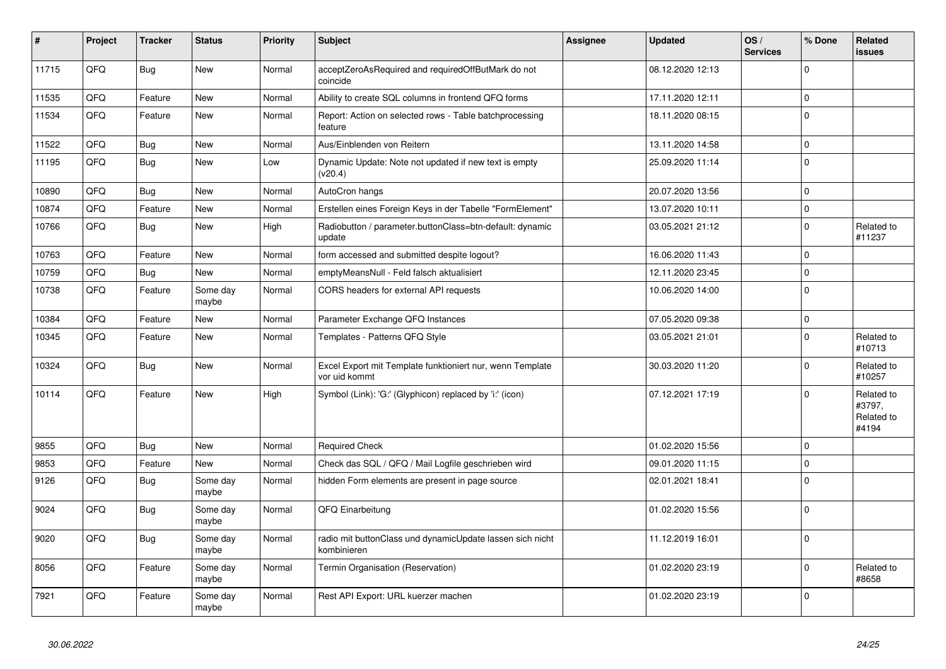| $\vert$ # | Project | <b>Tracker</b> | <b>Status</b>     | <b>Priority</b> | <b>Subject</b>                                                             | <b>Assignee</b> | <b>Updated</b>   | OS/<br><b>Services</b> | % Done      | <b>Related</b><br><b>issues</b>             |
|-----------|---------|----------------|-------------------|-----------------|----------------------------------------------------------------------------|-----------------|------------------|------------------------|-------------|---------------------------------------------|
| 11715     | QFQ     | <b>Bug</b>     | <b>New</b>        | Normal          | acceptZeroAsRequired and requiredOffButMark do not<br>coincide             |                 | 08.12.2020 12:13 |                        | $\Omega$    |                                             |
| 11535     | QFQ     | Feature        | <b>New</b>        | Normal          | Ability to create SQL columns in frontend QFQ forms                        |                 | 17.11.2020 12:11 |                        | $\pmb{0}$   |                                             |
| 11534     | QFQ     | Feature        | <b>New</b>        | Normal          | Report: Action on selected rows - Table batchprocessing<br>feature         |                 | 18.11.2020 08:15 |                        | $\Omega$    |                                             |
| 11522     | QFQ     | <b>Bug</b>     | <b>New</b>        | Normal          | Aus/Einblenden von Reitern                                                 |                 | 13.11.2020 14:58 |                        | $\pmb{0}$   |                                             |
| 11195     | QFQ     | <b>Bug</b>     | <b>New</b>        | Low             | Dynamic Update: Note not updated if new text is empty<br>(v20.4)           |                 | 25.09.2020 11:14 |                        | $\Omega$    |                                             |
| 10890     | QFQ     | <b>Bug</b>     | <b>New</b>        | Normal          | AutoCron hangs                                                             |                 | 20.07.2020 13:56 |                        | $\pmb{0}$   |                                             |
| 10874     | QFQ     | Feature        | <b>New</b>        | Normal          | Erstellen eines Foreign Keys in der Tabelle "FormElement"                  |                 | 13.07.2020 10:11 |                        | $\pmb{0}$   |                                             |
| 10766     | QFQ     | <b>Bug</b>     | <b>New</b>        | High            | Radiobutton / parameter.buttonClass=btn-default: dynamic<br>update         |                 | 03.05.2021 21:12 |                        | $\mathbf 0$ | Related to<br>#11237                        |
| 10763     | QFQ     | Feature        | <b>New</b>        | Normal          | form accessed and submitted despite logout?                                |                 | 16.06.2020 11:43 |                        | $\pmb{0}$   |                                             |
| 10759     | QFQ     | <b>Bug</b>     | <b>New</b>        | Normal          | emptyMeansNull - Feld falsch aktualisiert                                  |                 | 12.11.2020 23:45 |                        | $\mathbf 0$ |                                             |
| 10738     | QFQ     | Feature        | Some day<br>maybe | Normal          | CORS headers for external API requests                                     |                 | 10.06.2020 14:00 |                        | $\mathbf 0$ |                                             |
| 10384     | QFQ     | Feature        | <b>New</b>        | Normal          | Parameter Exchange QFQ Instances                                           |                 | 07.05.2020 09:38 |                        | $\pmb{0}$   |                                             |
| 10345     | QFQ     | Feature        | New               | Normal          | Templates - Patterns QFQ Style                                             |                 | 03.05.2021 21:01 |                        | $\mathbf 0$ | Related to<br>#10713                        |
| 10324     | QFQ     | <b>Bug</b>     | <b>New</b>        | Normal          | Excel Export mit Template funktioniert nur, wenn Template<br>vor uid kommt |                 | 30.03.2020 11:20 |                        | $\pmb{0}$   | Related to<br>#10257                        |
| 10114     | QFQ     | Feature        | <b>New</b>        | High            | Symbol (Link): 'G:' (Glyphicon) replaced by 'i:' (icon)                    |                 | 07.12.2021 17:19 |                        | $\mathbf 0$ | Related to<br>#3797,<br>Related to<br>#4194 |
| 9855      | QFQ     | <b>Bug</b>     | New               | Normal          | <b>Required Check</b>                                                      |                 | 01.02.2020 15:56 |                        | $\Omega$    |                                             |
| 9853      | QFQ     | Feature        | New               | Normal          | Check das SQL / QFQ / Mail Logfile geschrieben wird                        |                 | 09.01.2020 11:15 |                        | $\pmb{0}$   |                                             |
| 9126      | QFQ     | <b>Bug</b>     | Some day<br>maybe | Normal          | hidden Form elements are present in page source                            |                 | 02.01.2021 18:41 |                        | $\mathbf 0$ |                                             |
| 9024      | QFQ     | Bug            | Some day<br>maybe | Normal          | QFQ Einarbeitung                                                           |                 | 01.02.2020 15:56 |                        | $\mathbf 0$ |                                             |
| 9020      | QFQ     | <b>Bug</b>     | Some day<br>maybe | Normal          | radio mit buttonClass und dynamicUpdate lassen sich nicht<br>kombinieren   |                 | 11.12.2019 16:01 |                        | $\mathbf 0$ |                                             |
| 8056      | QFQ     | Feature        | Some day<br>maybe | Normal          | Termin Organisation (Reservation)                                          |                 | 01.02.2020 23:19 |                        | $\mathbf 0$ | Related to<br>#8658                         |
| 7921      | QFQ     | Feature        | Some day<br>maybe | Normal          | Rest API Export: URL kuerzer machen                                        |                 | 01.02.2020 23:19 |                        | $\mathbf 0$ |                                             |